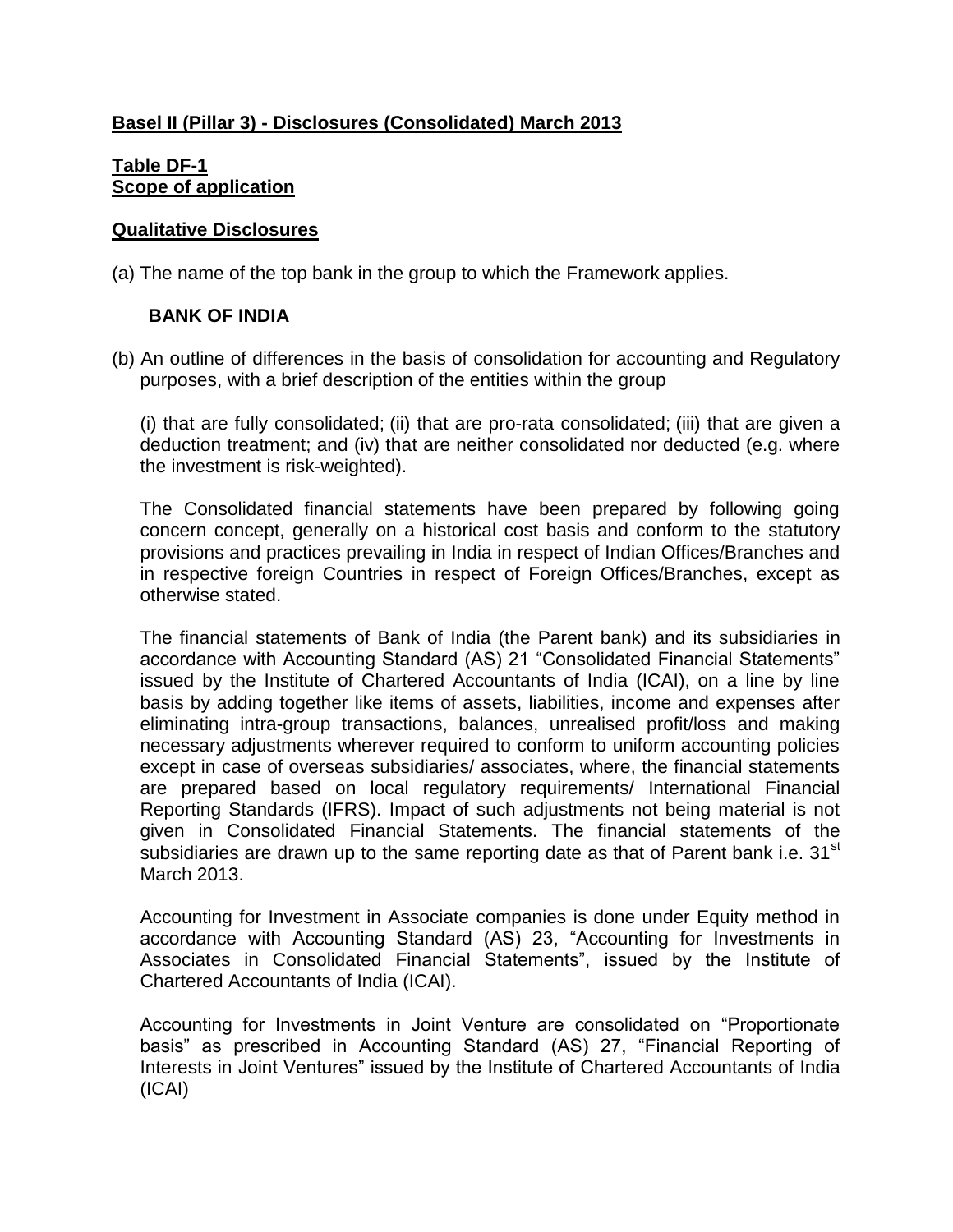### **Basel II (Pillar 3) - Disclosures (Consolidated) March 2013**

### **Table DF-1 Scope of application**

#### **Qualitative Disclosures**

(a) The name of the top bank in the group to which the Framework applies.

### **BANK OF INDIA**

(b) An outline of differences in the basis of consolidation for accounting and Regulatory purposes, with a brief description of the entities within the group

(i) that are fully consolidated; (ii) that are pro-rata consolidated; (iii) that are given a deduction treatment; and (iv) that are neither consolidated nor deducted (e.g. where the investment is risk-weighted).

The Consolidated financial statements have been prepared by following going concern concept, generally on a historical cost basis and conform to the statutory provisions and practices prevailing in India in respect of Indian Offices/Branches and in respective foreign Countries in respect of Foreign Offices/Branches, except as otherwise stated.

The financial statements of Bank of India (the Parent bank) and its subsidiaries in accordance with Accounting Standard (AS) 21 "Consolidated Financial Statements" issued by the Institute of Chartered Accountants of India (ICAI), on a line by line basis by adding together like items of assets, liabilities, income and expenses after eliminating intra-group transactions, balances, unrealised profit/loss and making necessary adjustments wherever required to conform to uniform accounting policies except in case of overseas subsidiaries/ associates, where, the financial statements are prepared based on local regulatory requirements/ International Financial Reporting Standards (IFRS). Impact of such adjustments not being material is not given in Consolidated Financial Statements. The financial statements of the subsidiaries are drawn up to the same reporting date as that of Parent bank i.e.  $31<sup>st</sup>$ March 2013.

Accounting for Investment in Associate companies is done under Equity method in accordance with Accounting Standard (AS) 23, "Accounting for Investments in Associates in Consolidated Financial Statements", issued by the Institute of Chartered Accountants of India (ICAI).

Accounting for Investments in Joint Venture are consolidated on "Proportionate basis" as prescribed in Accounting Standard (AS) 27, "Financial Reporting of Interests in Joint Ventures" issued by the Institute of Chartered Accountants of India (ICAI)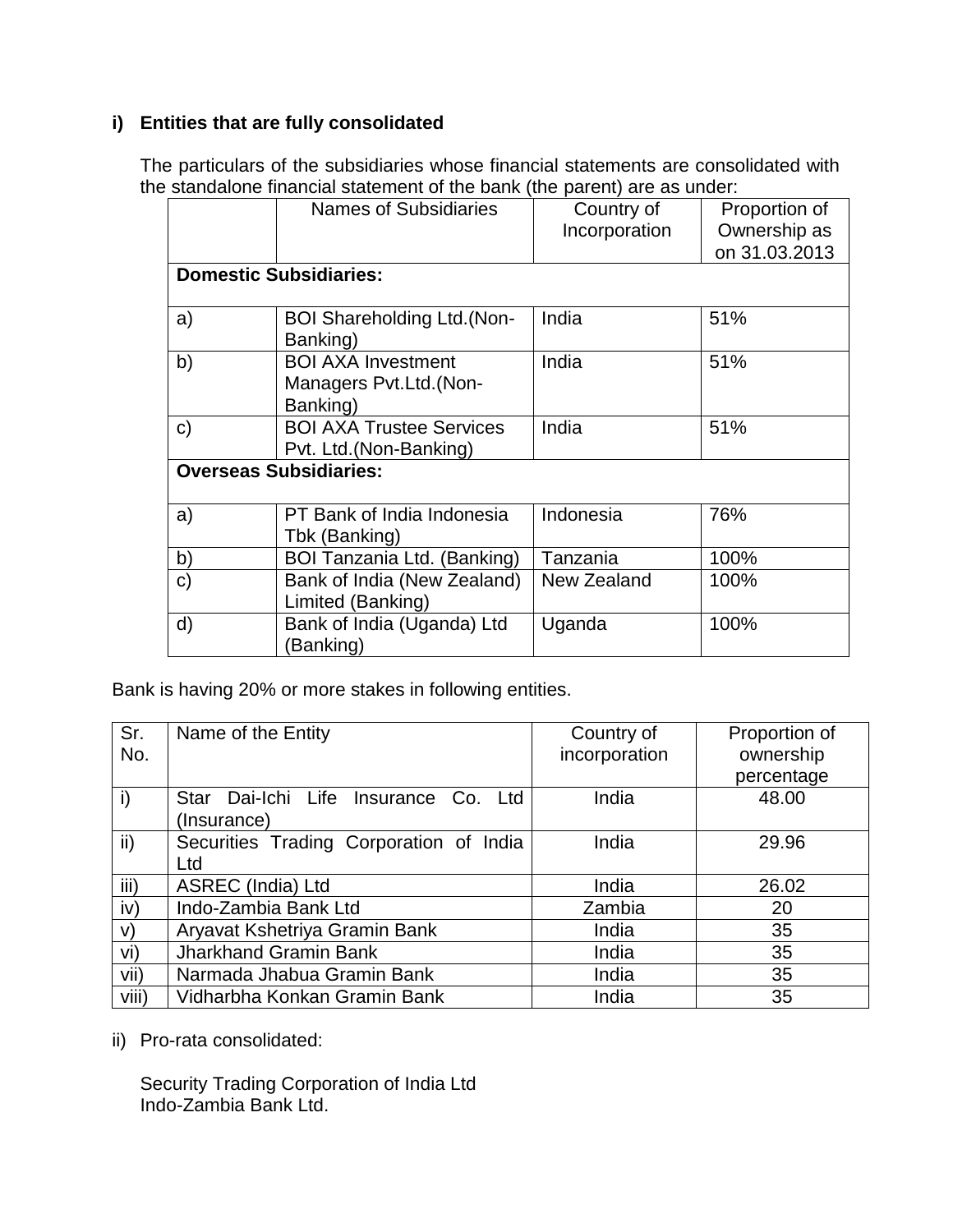### **i) Entities that are fully consolidated**

The particulars of the subsidiaries whose financial statements are consolidated with the standalone financial statement of the bank (the parent) are as under:

|              | andalono midnoidi oldionioni or tho bank fino paront/ dro do dildon. |               |               |
|--------------|----------------------------------------------------------------------|---------------|---------------|
|              | <b>Names of Subsidiaries</b>                                         | Country of    | Proportion of |
|              |                                                                      | Incorporation | Ownership as  |
|              |                                                                      |               | on 31.03.2013 |
|              | <b>Domestic Subsidiaries:</b>                                        |               |               |
|              |                                                                      |               |               |
| a)           | <b>BOI Shareholding Ltd.(Non-</b><br>Banking)                        | India         | 51%           |
| b)           | <b>BOI AXA Investment</b>                                            | India         | 51%           |
|              | Managers Pvt.Ltd. (Non-<br>Banking)                                  |               |               |
| C)           | <b>BOI AXA Trustee Services</b>                                      | India         | 51%           |
|              | Pvt. Ltd.(Non-Banking)                                               |               |               |
|              | <b>Overseas Subsidiaries:</b>                                        |               |               |
|              |                                                                      |               |               |
| a)           | PT Bank of India Indonesia<br>Tbk (Banking)                          | Indonesia     | 76%           |
|              |                                                                      |               |               |
| b)           | BOI Tanzania Ltd. (Banking)                                          | Tanzania      | 100%          |
| $\mathbf{C}$ | Bank of India (New Zealand)                                          | New Zealand   | 100%          |
|              | Limited (Banking)                                                    |               |               |
| d)           | Bank of India (Uganda) Ltd                                           | Uganda        | 100%          |
|              | (Banking)                                                            |               |               |

Bank is having 20% or more stakes in following entities.

| Sr.          | Name of the Entity                      | Country of    | Proportion of |
|--------------|-----------------------------------------|---------------|---------------|
| No.          |                                         | incorporation | ownership     |
|              |                                         |               | percentage    |
| $\mathsf{i}$ | Star Dai-Ichi Life Insurance Co. Ltd    | India         | 48.00         |
|              | (Insurance)                             |               |               |
| ii)          | Securities Trading Corporation of India | India         | 29.96         |
|              | Ltd                                     |               |               |
| iii)         | ASREC (India) Ltd                       | India         | 26.02         |
| iv)          | Indo-Zambia Bank Ltd                    | Zambia        | 20            |
| $\vee$       | Aryavat Kshetriya Gramin Bank           | India         | 35            |
| vi)          | Jharkhand Gramin Bank                   | India         | 35            |
| vii)         | Narmada Jhabua Gramin Bank              | India         | 35            |
| viii)        | Vidharbha Konkan Gramin Bank            | India         | 35            |

ii) Pro-rata consolidated:

Security Trading Corporation of India Ltd Indo-Zambia Bank Ltd.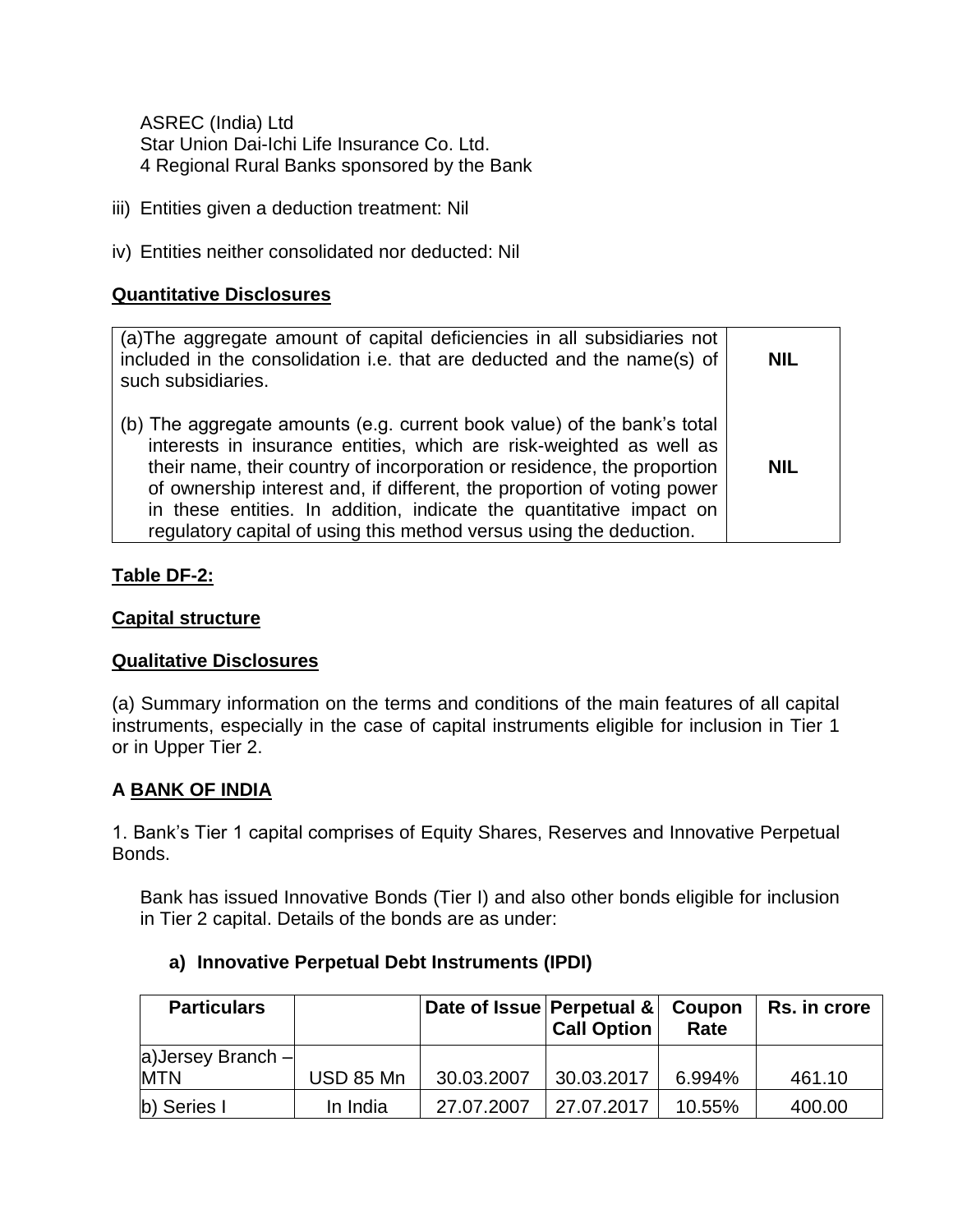ASREC (India) Ltd Star Union Dai-Ichi Life Insurance Co. Ltd. 4 Regional Rural Banks sponsored by the Bank

- iii) Entities given a deduction treatment: Nil
- iv) Entities neither consolidated nor deducted: Nil

### **Quantitative Disclosures**

### **Table DF-2:**

#### **Capital structure**

#### **Qualitative Disclosures**

(a) Summary information on the terms and conditions of the main features of all capital instruments, especially in the case of capital instruments eligible for inclusion in Tier 1 or in Upper Tier 2.

#### **A BANK OF INDIA**

1. Bank's Tier 1 capital comprises of Equity Shares, Reserves and Innovative Perpetual Bonds.

Bank has issued Innovative Bonds (Tier I) and also other bonds eligible for inclusion in Tier 2 capital. Details of the bonds are as under:

| <b>Particulars</b>             |           | Date of Issue Perpetual & Coupon | <b>Call Option</b> | Rate   | Rs. in crore |
|--------------------------------|-----------|----------------------------------|--------------------|--------|--------------|
| a)Jersey Branch-<br><b>MTN</b> | USD 85 Mn | 30.03.2007                       | 30.03.2017         | 6.994% | 461.10       |
|                                |           |                                  |                    |        |              |
| b) Series I                    | In India  | 27.07.2007                       | 27.07.2017         | 10.55% | 400.00       |

### **a) Innovative Perpetual Debt Instruments (IPDI)**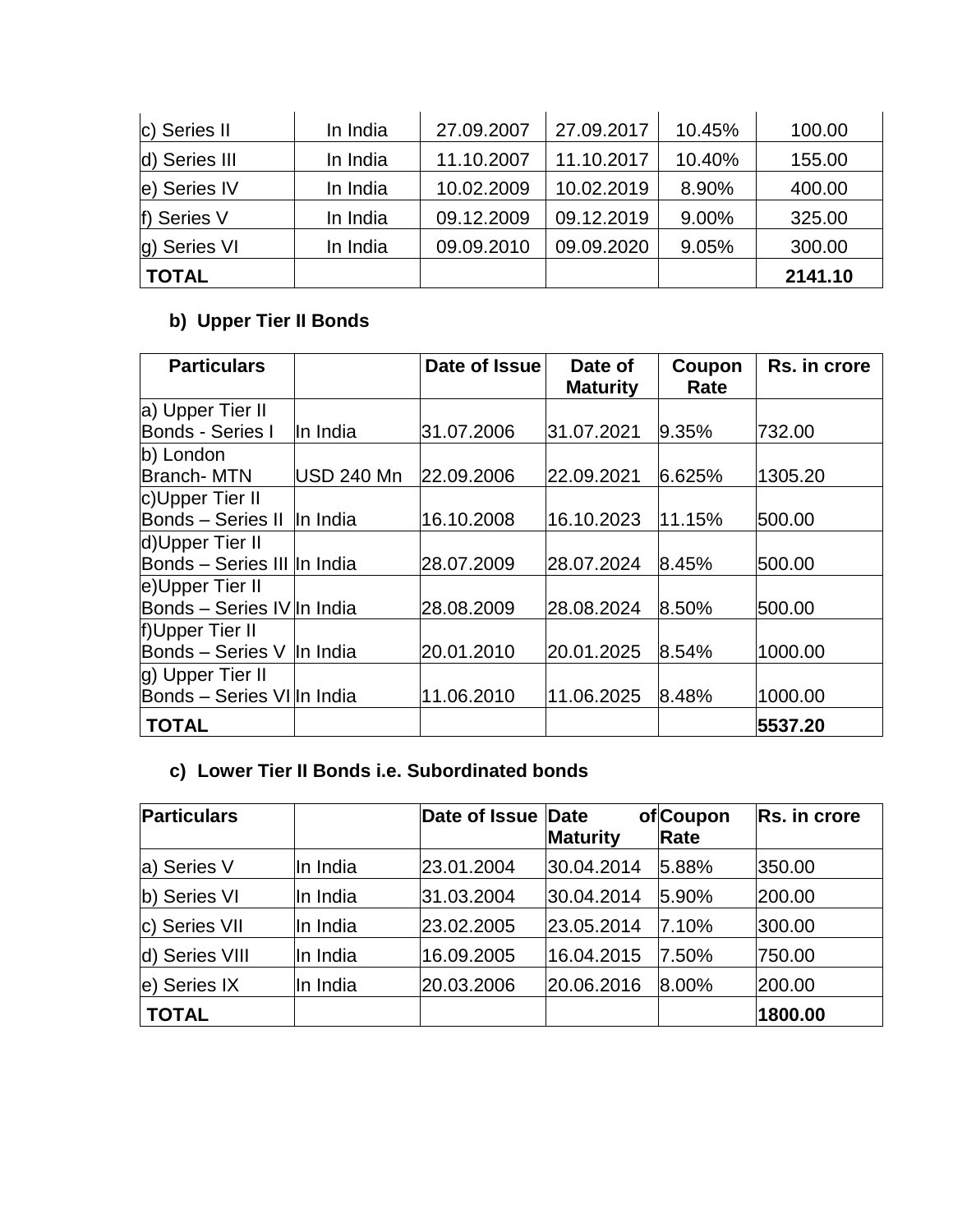| c) Series II  | In India | 27.09.2007 | 27.09.2017 | 10.45% | 100.00  |
|---------------|----------|------------|------------|--------|---------|
| d) Series III | In India | 11.10.2007 | 11.10.2017 | 10.40% | 155.00  |
| e) Series IV  | In India | 10.02.2009 | 10.02.2019 | 8.90%  | 400.00  |
| f) Series V   | In India | 09.12.2009 | 09.12.2019 | 9.00%  | 325.00  |
| g) Series VI  | In India | 09.09.2010 | 09.09.2020 | 9.05%  | 300.00  |
| <b>TOTAL</b>  |          |            |            |        | 2141.10 |

# **b) Upper Tier II Bonds**

| <b>Particulars</b>          |            | Date of Issue | Date of         | Coupon | Rs. in crore |
|-----------------------------|------------|---------------|-----------------|--------|--------------|
|                             |            |               | <b>Maturity</b> | Rate   |              |
| a) Upper Tier II            |            |               |                 |        |              |
| Bonds - Series I            | In India   | 31.07.2006    | 31.07.2021      | 9.35%  | 732.00       |
| b) London                   |            |               |                 |        |              |
| <b>Branch-MTN</b>           | USD 240 Mn | 22.09.2006    | 22.09.2021      | 6.625% | 1305.20      |
| c)Upper Tier II             |            |               |                 |        |              |
| Bonds - Series II In India  |            | 16.10.2008    | 16.10.2023      | 11.15% | 500.00       |
| d)Upper Tier II             |            |               |                 |        |              |
| Bonds - Series III In India |            | 28.07.2009    | 28.07.2024      | 8.45%  | 500.00       |
| e)Upper Tier II             |            |               |                 |        |              |
| Bonds - Series IV In India  |            | 28.08.2009    | 28.08.2024      | 8.50%  | 500.00       |
| f)Upper Tier II             |            |               |                 |        |              |
| Bonds - Series V In India   |            | 20.01.2010    | 20.01.2025      | 8.54%  | 1000.00      |
| g) Upper Tier II            |            |               |                 |        |              |
| Bonds - Series VI In India  |            | 11.06.2010    | 11.06.2025      | 8.48%  | 1000.00      |
| <b>TOTAL</b>                |            |               |                 |        | 5537.20      |

## **c) Lower Tier II Bonds i.e. Subordinated bonds**

| <b>Particulars</b> |          | Date of Issue Date | <b>Maturity</b> | of Coupon<br>Rate | Rs. in crore |
|--------------------|----------|--------------------|-----------------|-------------------|--------------|
| a) Series V        | In India | 23.01.2004         | 30.04.2014      | 5.88%             | 350.00       |
| b) Series VI       | In India | 31.03.2004         | 30.04.2014      | 5.90%             | 200.00       |
| c) Series VII      | In India | 23.02.2005         | 23.05.2014      | 7.10%             | 300.00       |
| d) Series VIII     | In India | 16.09.2005         | 16.04.2015      | 7.50%             | 750.00       |
| e) Series IX       | In India | 20.03.2006         | 20.06.2016      | 8.00%             | 200.00       |
| <b>TOTAL</b>       |          |                    |                 |                   | 1800.00      |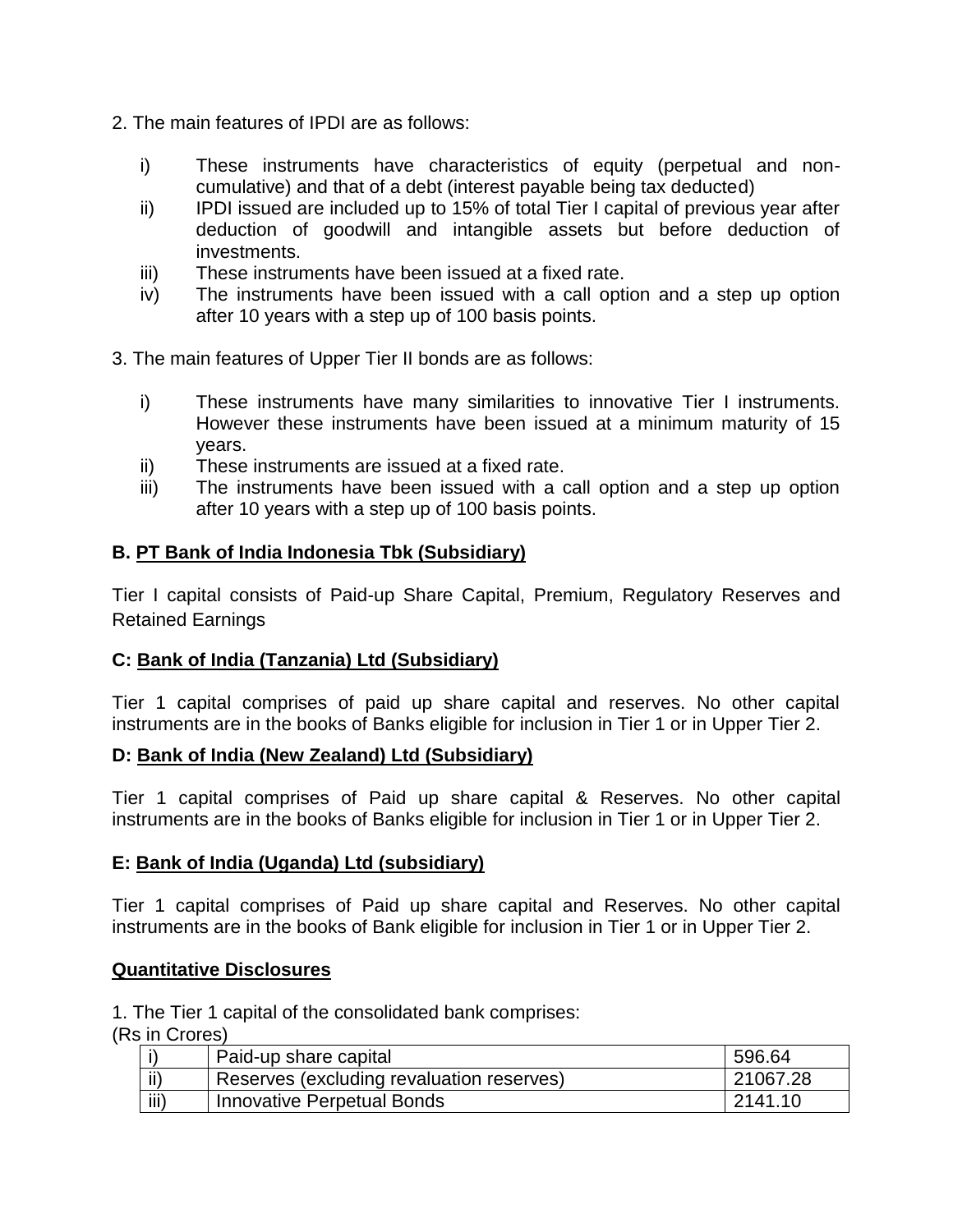- 2. The main features of IPDI are as follows:
	- i) These instruments have characteristics of equity (perpetual and noncumulative) and that of a debt (interest payable being tax deducted)
	- ii) IPDI issued are included up to 15% of total Tier I capital of previous year after deduction of goodwill and intangible assets but before deduction of investments.
	- iii) These instruments have been issued at a fixed rate.
	- iv) The instruments have been issued with a call option and a step up option after 10 years with a step up of 100 basis points.
- 3. The main features of Upper Tier II bonds are as follows:
	- i) These instruments have many similarities to innovative Tier I instruments. However these instruments have been issued at a minimum maturity of 15 years.
	- ii) These instruments are issued at a fixed rate.
	- iii) The instruments have been issued with a call option and a step up option after 10 years with a step up of 100 basis points.

### **B. PT Bank of India Indonesia Tbk (Subsidiary)**

Tier I capital consists of Paid-up Share Capital, Premium, Regulatory Reserves and Retained Earnings

### **C: Bank of India (Tanzania) Ltd (Subsidiary)**

Tier 1 capital comprises of paid up share capital and reserves. No other capital instruments are in the books of Banks eligible for inclusion in Tier 1 or in Upper Tier 2.

### **D: Bank of India (New Zealand) Ltd (Subsidiary)**

Tier 1 capital comprises of Paid up share capital & Reserves. No other capital instruments are in the books of Banks eligible for inclusion in Tier 1 or in Upper Tier 2.

#### **E: Bank of India (Uganda) Ltd (subsidiary)**

Tier 1 capital comprises of Paid up share capital and Reserves. No other capital instruments are in the books of Bank eligible for inclusion in Tier 1 or in Upper Tier 2.

#### **Quantitative Disclosures**

1. The Tier 1 capital of the consolidated bank comprises:

(Rs in Crores)

|      | Paid-up share capital                     | 596.64   |
|------|-------------------------------------------|----------|
| ii)  | Reserves (excluding revaluation reserves) | 21067.28 |
| iii) | Innovative Perpetual Bonds                | 2141 10  |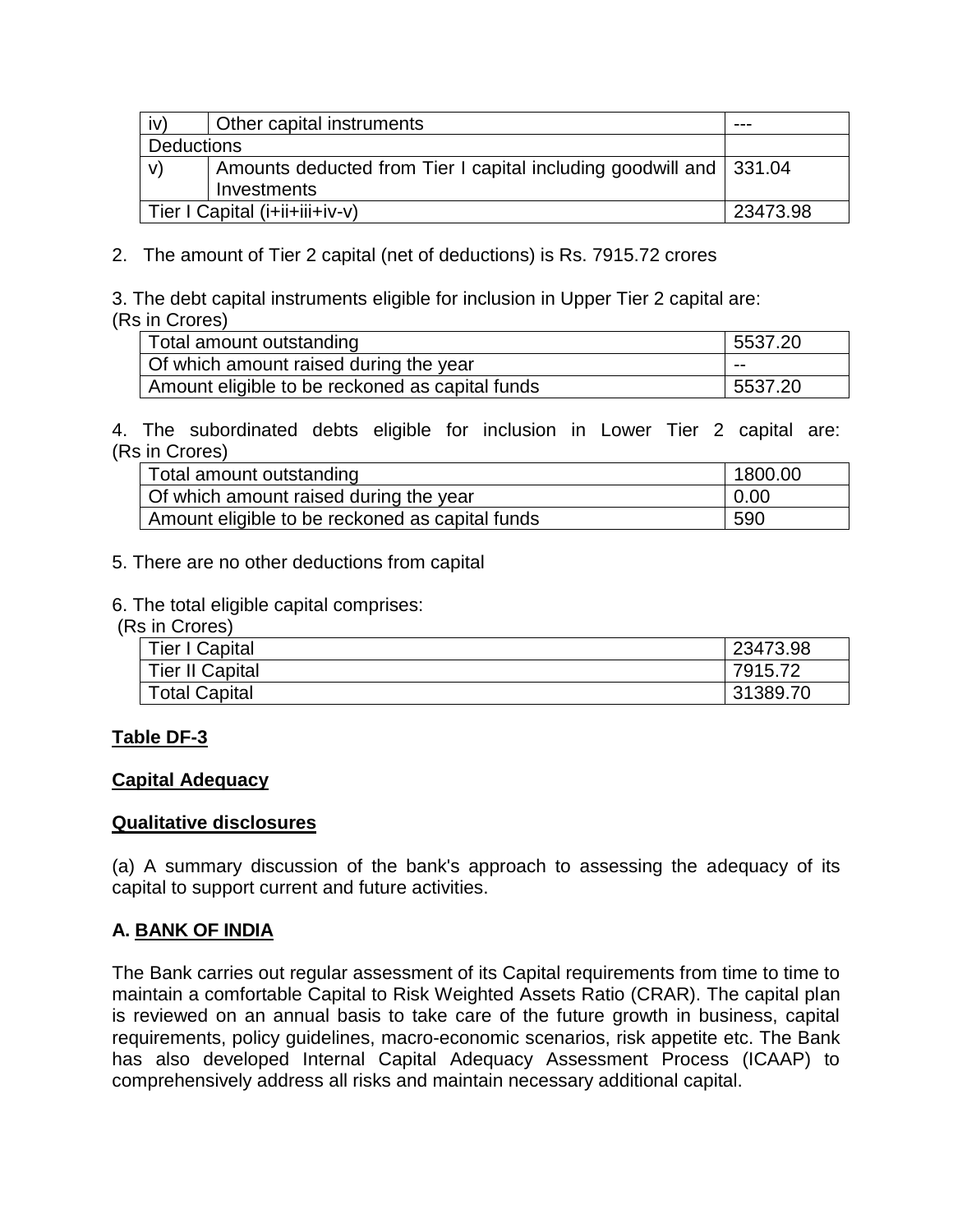| iv)               | Other capital instruments                                          | ---      |
|-------------------|--------------------------------------------------------------------|----------|
| <b>Deductions</b> |                                                                    |          |
| V)                | Amounts deducted from Tier I capital including goodwill and 331.04 |          |
|                   | Investments                                                        |          |
|                   | Tier I Capital (i+ii+iii+iv-v)                                     | 23473.98 |

2. The amount of Tier 2 capital (net of deductions) is Rs. 7915.72 crores

3. The debt capital instruments eligible for inclusion in Upper Tier 2 capital are: (Rs in Crores)

| Total amount outstanding                        | 5537.20 |
|-------------------------------------------------|---------|
| Of which amount raised during the year          | $- -$   |
| Amount eligible to be reckoned as capital funds | 5537.20 |

4. The subordinated debts eligible for inclusion in Lower Tier 2 capital are: (Rs in Crores)

| Total amount outstanding                        | 1800.00     |
|-------------------------------------------------|-------------|
| Of which amount raised during the year          | $\mid 0.00$ |
| Amount eligible to be reckoned as capital funds | 590         |

- 5. There are no other deductions from capital
- 6. The total eligible capital comprises:
- (Rs in Crores)

| .                      |          |
|------------------------|----------|
| <b>Tier I Capital</b>  | 23473.98 |
| <b>Tier II Capital</b> | 7915.72  |
| <b>Total Capital</b>   | 31389.70 |

#### **Table DF-3**

#### **Capital Adequacy**

#### **Qualitative disclosures**

(a) A summary discussion of the bank's approach to assessing the adequacy of its capital to support current and future activities.

### **A. BANK OF INDIA**

The Bank carries out regular assessment of its Capital requirements from time to time to maintain a comfortable Capital to Risk Weighted Assets Ratio (CRAR). The capital plan is reviewed on an annual basis to take care of the future growth in business, capital requirements, policy guidelines, macro-economic scenarios, risk appetite etc. The Bank has also developed Internal Capital Adequacy Assessment Process (ICAAP) to comprehensively address all risks and maintain necessary additional capital.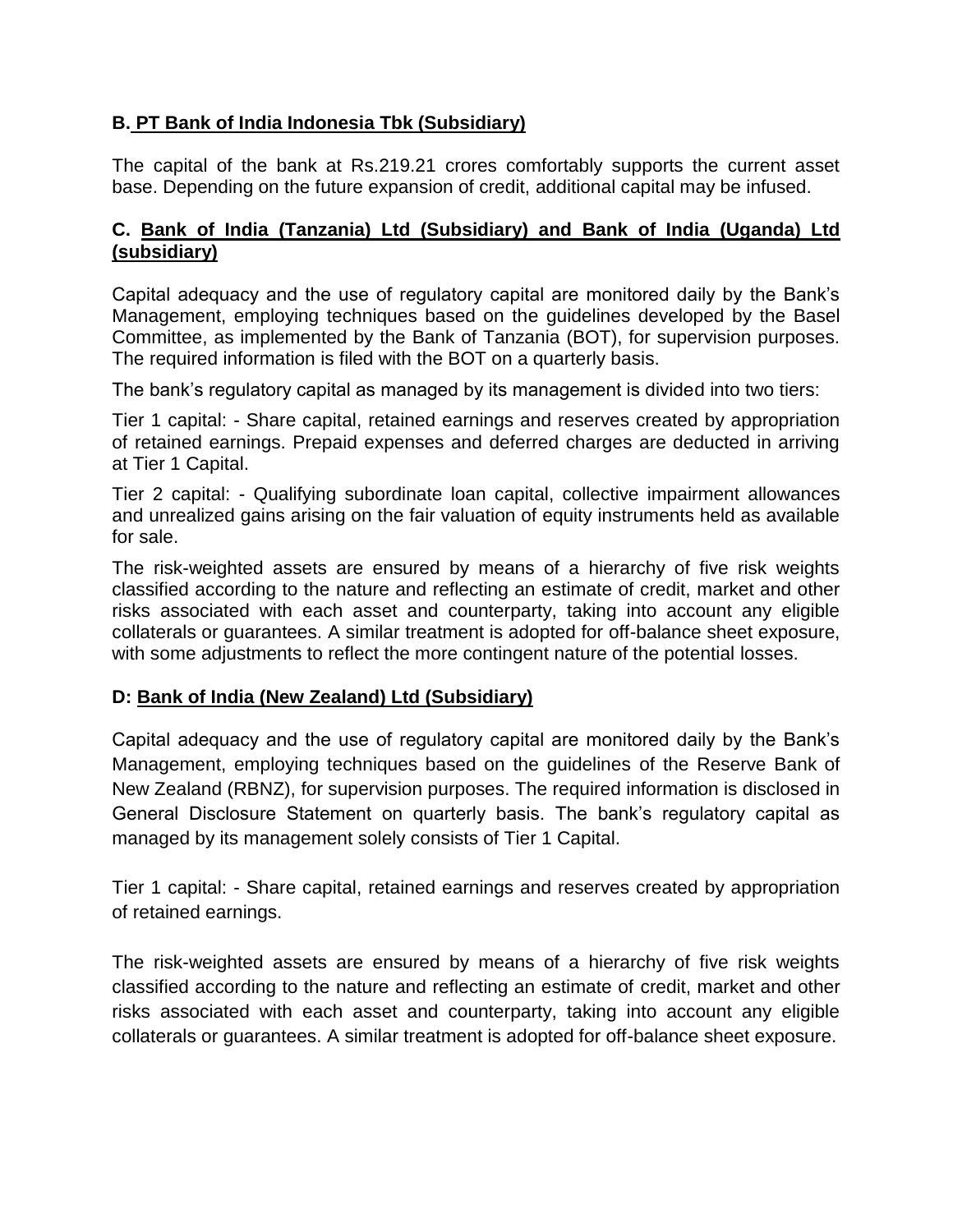### **B. PT Bank of India Indonesia Tbk (Subsidiary)**

The capital of the bank at Rs.219.21 crores comfortably supports the current asset base. Depending on the future expansion of credit, additional capital may be infused.

### **C. Bank of India (Tanzania) Ltd (Subsidiary) and Bank of India (Uganda) Ltd (subsidiary)**

Capital adequacy and the use of regulatory capital are monitored daily by the Bank's Management, employing techniques based on the guidelines developed by the Basel Committee, as implemented by the Bank of Tanzania (BOT), for supervision purposes. The required information is filed with the BOT on a quarterly basis.

The bank's regulatory capital as managed by its management is divided into two tiers:

Tier 1 capital: - Share capital, retained earnings and reserves created by appropriation of retained earnings. Prepaid expenses and deferred charges are deducted in arriving at Tier 1 Capital.

Tier 2 capital: - Qualifying subordinate loan capital, collective impairment allowances and unrealized gains arising on the fair valuation of equity instruments held as available for sale.

The risk-weighted assets are ensured by means of a hierarchy of five risk weights classified according to the nature and reflecting an estimate of credit, market and other risks associated with each asset and counterparty, taking into account any eligible collaterals or guarantees. A similar treatment is adopted for off-balance sheet exposure, with some adjustments to reflect the more contingent nature of the potential losses.

### **D: Bank of India (New Zealand) Ltd (Subsidiary)**

Capital adequacy and the use of regulatory capital are monitored daily by the Bank's Management, employing techniques based on the guidelines of the Reserve Bank of New Zealand (RBNZ), for supervision purposes. The required information is disclosed in General Disclosure Statement on quarterly basis. The bank's regulatory capital as managed by its management solely consists of Tier 1 Capital.

Tier 1 capital: - Share capital, retained earnings and reserves created by appropriation of retained earnings.

The risk-weighted assets are ensured by means of a hierarchy of five risk weights classified according to the nature and reflecting an estimate of credit, market and other risks associated with each asset and counterparty, taking into account any eligible collaterals or guarantees. A similar treatment is adopted for off-balance sheet exposure.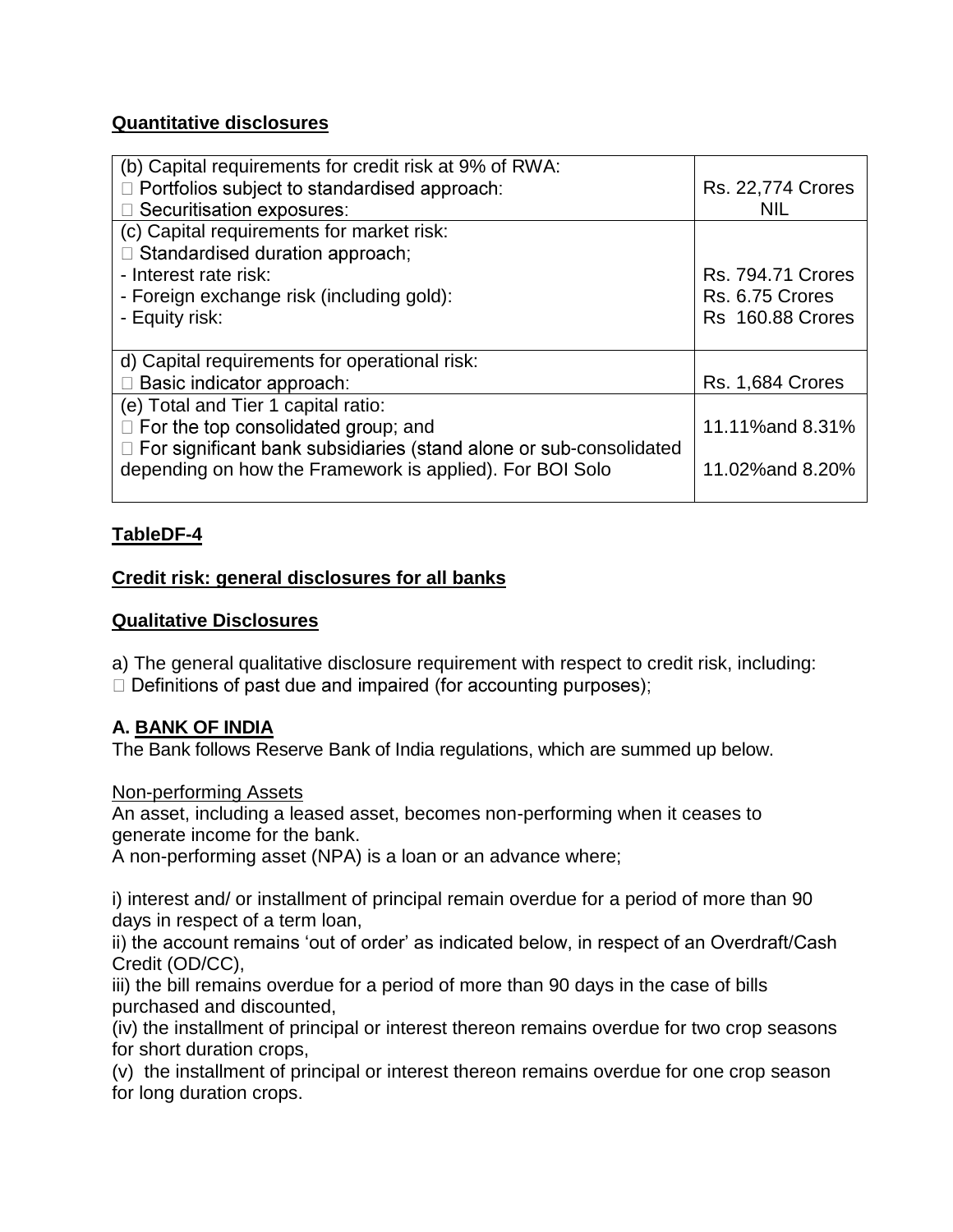### **Quantitative disclosures**

| (b) Capital requirements for credit risk at 9% of RWA:               |                          |
|----------------------------------------------------------------------|--------------------------|
| $\Box$ Portfolios subject to standardised approach:                  | <b>Rs. 22,774 Crores</b> |
| □ Securitisation exposures:                                          | <b>NIL</b>               |
| (c) Capital requirements for market risk:                            |                          |
| $\Box$ Standardised duration approach;                               |                          |
| - Interest rate risk:                                                | <b>Rs. 794.71 Crores</b> |
| - Foreign exchange risk (including gold):                            | Rs. 6.75 Crores          |
| - Equity risk:                                                       | <b>Rs 160.88 Crores</b>  |
|                                                                      |                          |
| d) Capital requirements for operational risk:                        |                          |
| Basic indicator approach:                                            | <b>Rs. 1,684 Crores</b>  |
| (e) Total and Tier 1 capital ratio:                                  |                          |
| $\Box$ For the top consolidated group; and                           | 11.11% and 8.31%         |
| □ For significant bank subsidiaries (stand alone or sub-consolidated |                          |
| depending on how the Framework is applied). For BOI Solo             | 11.02% and 8.20%         |
|                                                                      |                          |

### **TableDF-4**

### **Credit risk: general disclosures for all banks**

### **Qualitative Disclosures**

a) The general qualitative disclosure requirement with respect to credit risk, including:

 $\Box$  Definitions of past due and impaired (for accounting purposes);

### **A. BANK OF INDIA**

The Bank follows Reserve Bank of India regulations, which are summed up below.

### Non-performing Assets

An asset, including a leased asset, becomes non-performing when it ceases to generate income for the bank.

A non-performing asset (NPA) is a loan or an advance where;

i) interest and/ or installment of principal remain overdue for a period of more than 90 days in respect of a term loan,

ii) the account remains 'out of order' as indicated below, in respect of an Overdraft/Cash Credit (OD/CC),

iii) the bill remains overdue for a period of more than 90 days in the case of bills purchased and discounted,

(iv) the installment of principal or interest thereon remains overdue for two crop seasons for short duration crops,

(v) the installment of principal or interest thereon remains overdue for one crop season for long duration crops.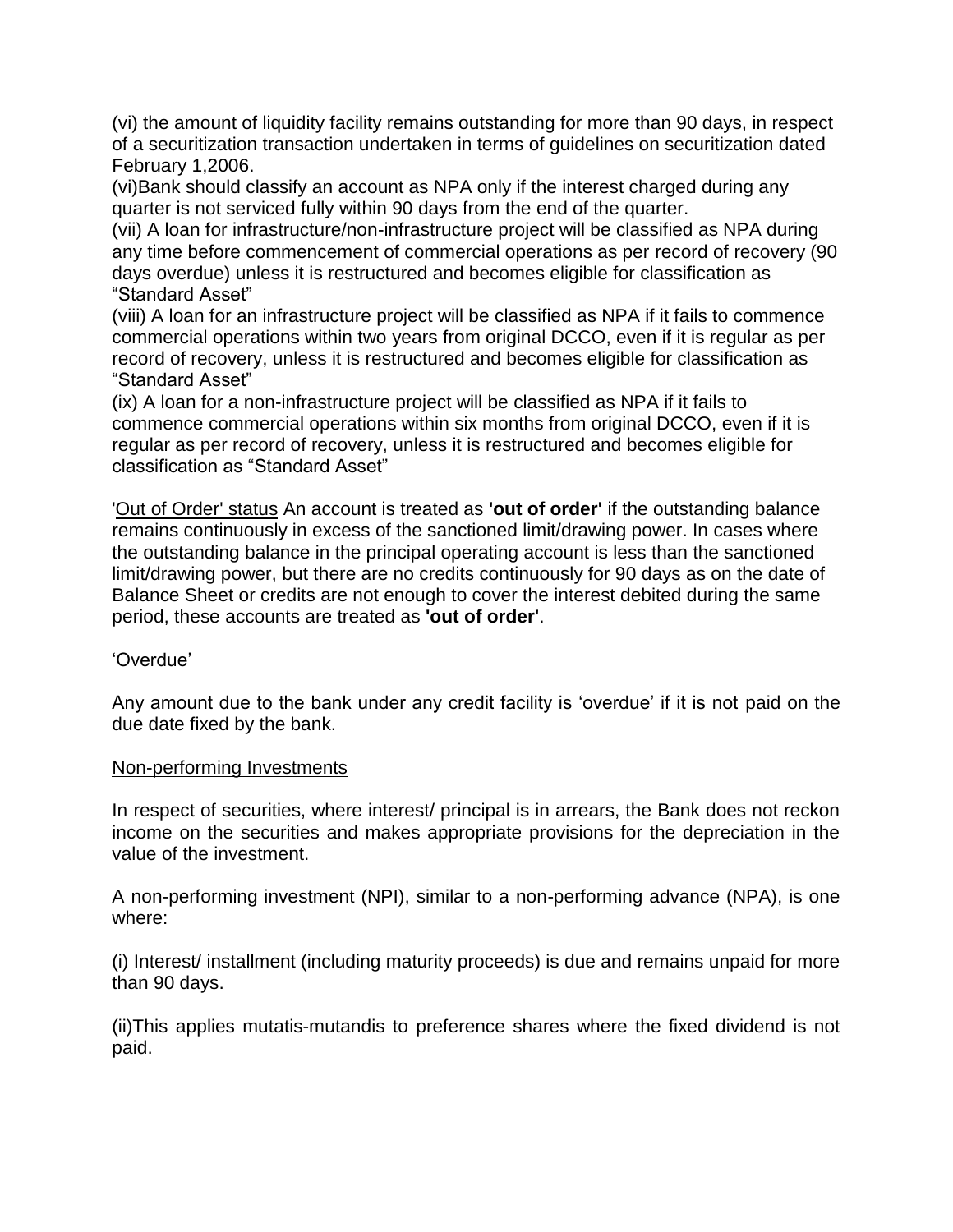(vi) the amount of liquidity facility remains outstanding for more than 90 days, in respect of a securitization transaction undertaken in terms of guidelines on securitization dated February 1,2006.

(vi)Bank should classify an account as NPA only if the interest charged during any quarter is not serviced fully within 90 days from the end of the quarter.

(vii) A loan for infrastructure/non-infrastructure project will be classified as NPA during any time before commencement of commercial operations as per record of recovery (90 days overdue) unless it is restructured and becomes eligible for classification as "Standard Asset"

(viii) A loan for an infrastructure project will be classified as NPA if it fails to commence commercial operations within two years from original DCCO, even if it is regular as per record of recovery, unless it is restructured and becomes eligible for classification as "Standard Asset"

(ix) A loan for a non-infrastructure project will be classified as NPA if it fails to commence commercial operations within six months from original DCCO, even if it is regular as per record of recovery, unless it is restructured and becomes eligible for classification as "Standard Asset"

'Out of Order' status An account is treated as **'out of order'** if the outstanding balance remains continuously in excess of the sanctioned limit/drawing power. In cases where the outstanding balance in the principal operating account is less than the sanctioned limit/drawing power, but there are no credits continuously for 90 days as on the date of Balance Sheet or credits are not enough to cover the interest debited during the same period, these accounts are treated as **'out of order'**.

### 'Overdue'

Any amount due to the bank under any credit facility is 'overdue' if it is not paid on the due date fixed by the bank.

#### Non-performing Investments

In respect of securities, where interest/ principal is in arrears, the Bank does not reckon income on the securities and makes appropriate provisions for the depreciation in the value of the investment.

A non-performing investment (NPI), similar to a non-performing advance (NPA), is one where:

(i) Interest/ installment (including maturity proceeds) is due and remains unpaid for more than 90 days.

(ii)This applies mutatis-mutandis to preference shares where the fixed dividend is not paid.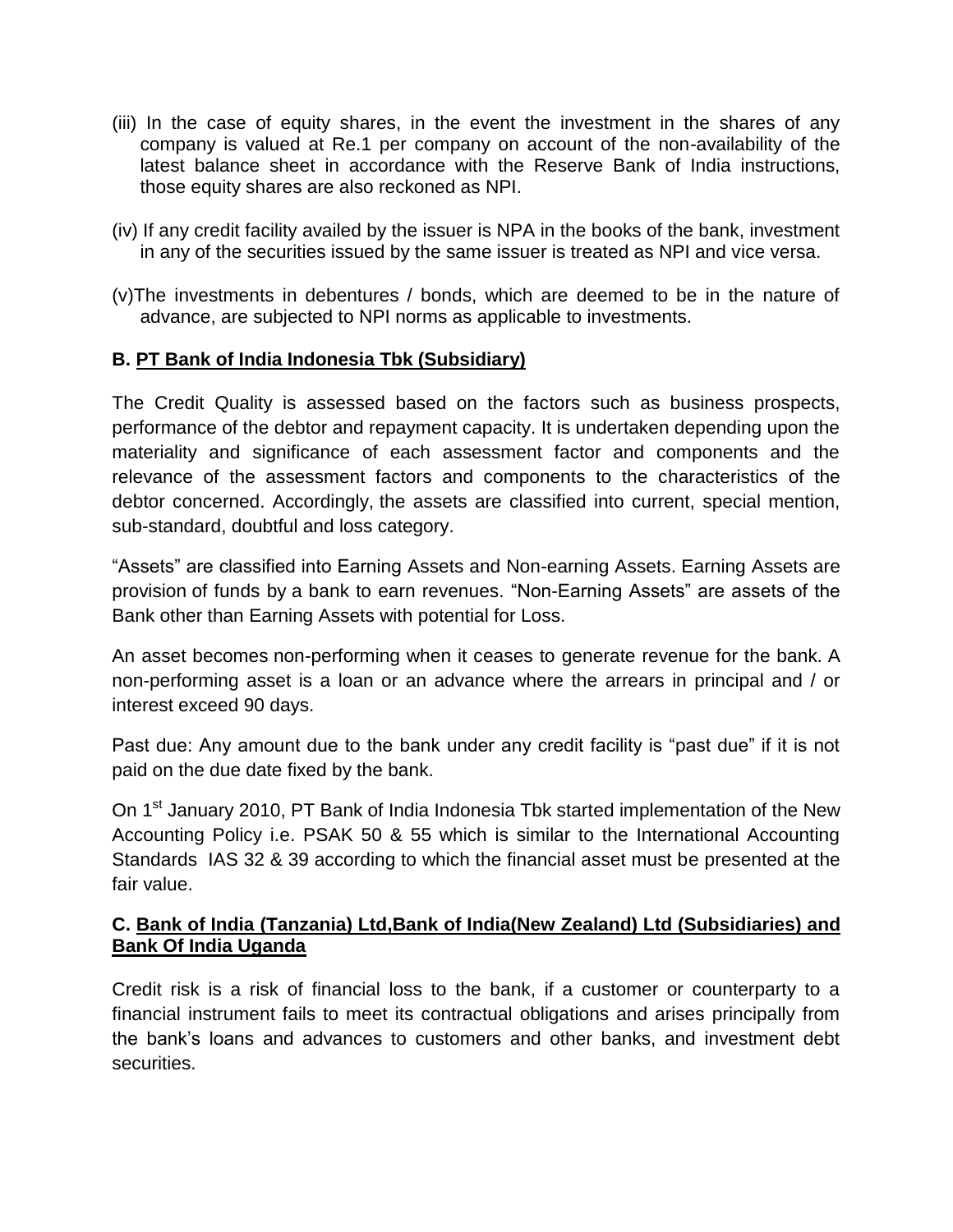- (iii) In the case of equity shares, in the event the investment in the shares of any company is valued at Re.1 per company on account of the non-availability of the latest balance sheet in accordance with the Reserve Bank of India instructions, those equity shares are also reckoned as NPI.
- (iv) If any credit facility availed by the issuer is NPA in the books of the bank, investment in any of the securities issued by the same issuer is treated as NPI and vice versa.
- (v)The investments in debentures / bonds, which are deemed to be in the nature of advance, are subjected to NPI norms as applicable to investments.

### **B. PT Bank of India Indonesia Tbk (Subsidiary)**

The Credit Quality is assessed based on the factors such as business prospects, performance of the debtor and repayment capacity. It is undertaken depending upon the materiality and significance of each assessment factor and components and the relevance of the assessment factors and components to the characteristics of the debtor concerned. Accordingly, the assets are classified into current, special mention, sub-standard, doubtful and loss category.

"Assets" are classified into Earning Assets and Non-earning Assets. Earning Assets are provision of funds by a bank to earn revenues. "Non-Earning Assets" are assets of the Bank other than Earning Assets with potential for Loss.

An asset becomes non-performing when it ceases to generate revenue for the bank. A non-performing asset is a loan or an advance where the arrears in principal and / or interest exceed 90 days.

Past due: Any amount due to the bank under any credit facility is "past due" if it is not paid on the due date fixed by the bank.

On 1<sup>st</sup> January 2010, PT Bank of India Indonesia Tbk started implementation of the New Accounting Policy i.e. PSAK 50 & 55 which is similar to the International Accounting Standards IAS 32 & 39 according to which the financial asset must be presented at the fair value.

#### **C. Bank of India (Tanzania) Ltd,Bank of India(New Zealand) Ltd (Subsidiaries) and Bank Of India Uganda**

Credit risk is a risk of financial loss to the bank, if a customer or counterparty to a financial instrument fails to meet its contractual obligations and arises principally from the bank's loans and advances to customers and other banks, and investment debt securities.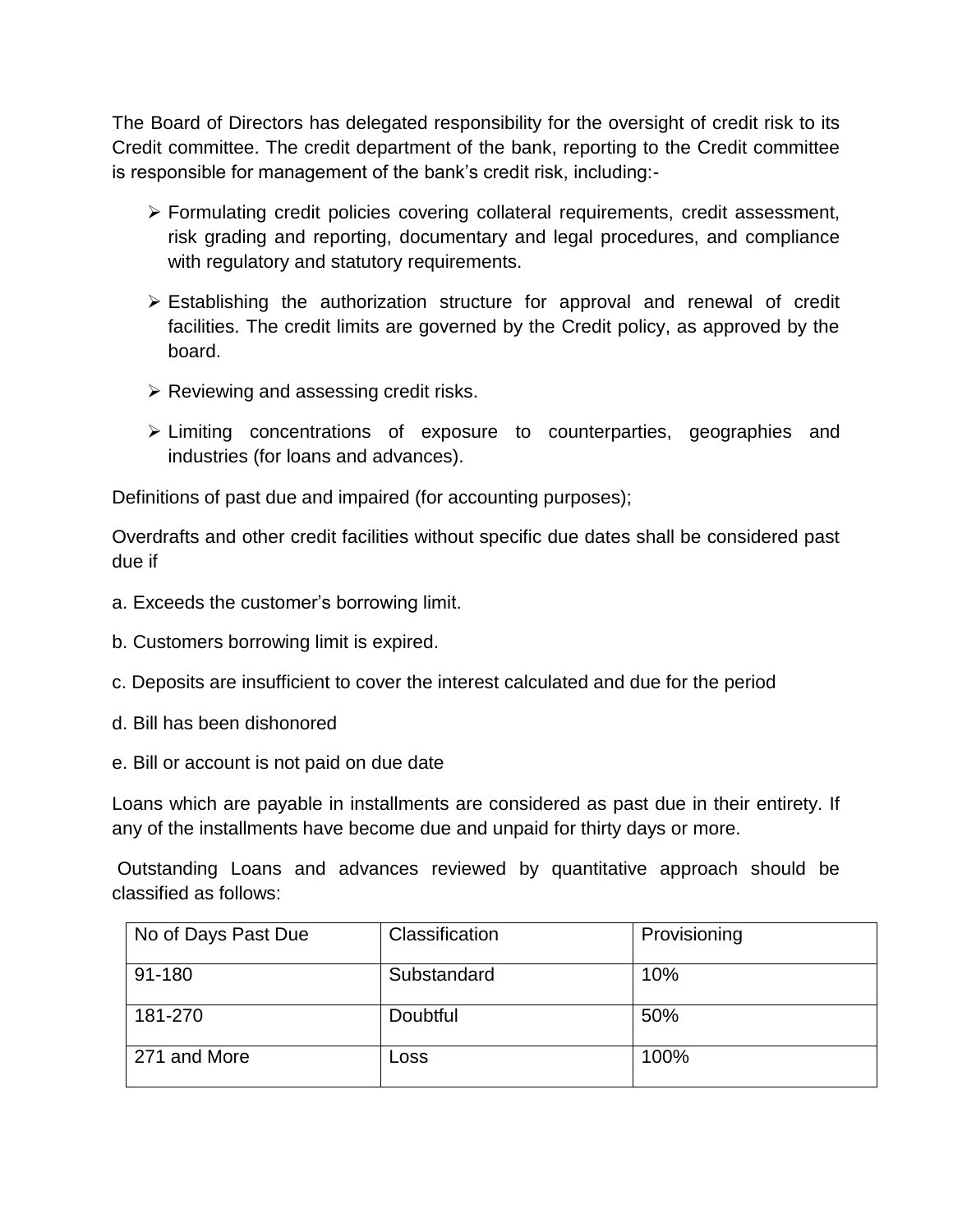The Board of Directors has delegated responsibility for the oversight of credit risk to its Credit committee. The credit department of the bank, reporting to the Credit committee is responsible for management of the bank's credit risk, including:-

- Formulating credit policies covering collateral requirements, credit assessment, risk grading and reporting, documentary and legal procedures, and compliance with regulatory and statutory requirements.
- $\triangleright$  Establishing the authorization structure for approval and renewal of credit facilities. The credit limits are governed by the Credit policy, as approved by the board.
- $\triangleright$  Reviewing and assessing credit risks.
- Limiting concentrations of exposure to counterparties, geographies and industries (for loans and advances).

Definitions of past due and impaired (for accounting purposes);

Overdrafts and other credit facilities without specific due dates shall be considered past due if

- a. Exceeds the customer's borrowing limit.
- b. Customers borrowing limit is expired.
- c. Deposits are insufficient to cover the interest calculated and due for the period
- d. Bill has been dishonored
- e. Bill or account is not paid on due date

Loans which are payable in installments are considered as past due in their entirety. If any of the installments have become due and unpaid for thirty days or more.

Outstanding Loans and advances reviewed by quantitative approach should be classified as follows:

| No of Days Past Due | Classification | Provisioning |
|---------------------|----------------|--------------|
| 91-180              | Substandard    | 10%          |
| 181-270             | Doubtful       | 50%          |
| 271 and More        | Loss           | 100%         |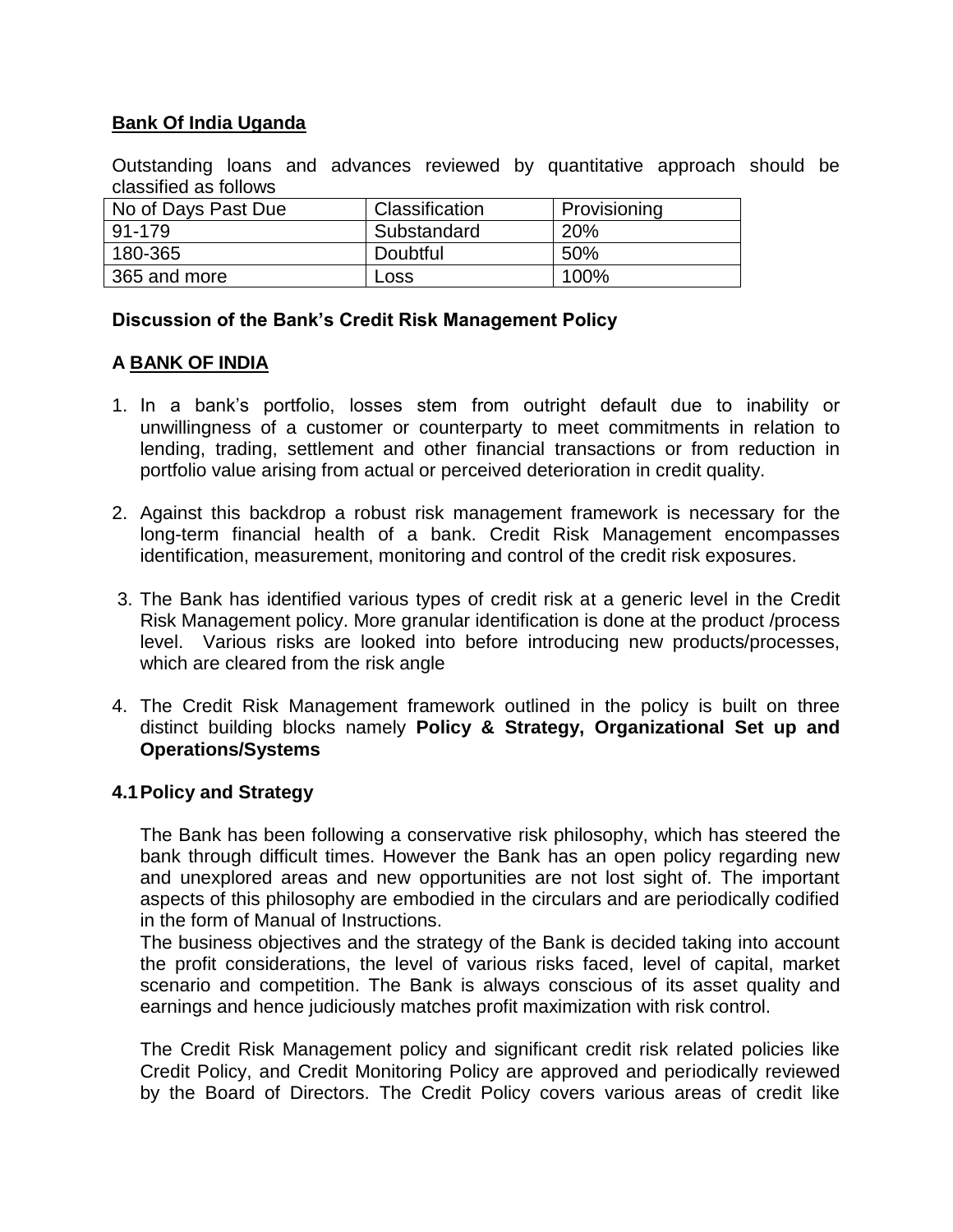### **Bank Of India Uganda**

Outstanding loans and advances reviewed by quantitative approach should be classified as follows

| No of Days Past Due | Classification | Provisioning |
|---------------------|----------------|--------------|
| 91-179              | Substandard    | 20%          |
| 180-365             | Doubtful       | 50%          |
| 365 and more        | Loss           | 100%         |

#### **Discussion of the Bank's Credit Risk Management Policy**

#### **A BANK OF INDIA**

- 1. In a bank's portfolio, losses stem from outright default due to inability or unwillingness of a customer or counterparty to meet commitments in relation to lending, trading, settlement and other financial transactions or from reduction in portfolio value arising from actual or perceived deterioration in credit quality.
- 2. Against this backdrop a robust risk management framework is necessary for the long-term financial health of a bank. Credit Risk Management encompasses identification, measurement, monitoring and control of the credit risk exposures.
- 3. The Bank has identified various types of credit risk at a generic level in the Credit Risk Management policy. More granular identification is done at the product /process level. Various risks are looked into before introducing new products/processes, which are cleared from the risk angle
- 4. The Credit Risk Management framework outlined in the policy is built on three distinct building blocks namely **Policy & Strategy, Organizational Set up and Operations/Systems**

#### **4.1Policy and Strategy**

The Bank has been following a conservative risk philosophy, which has steered the bank through difficult times. However the Bank has an open policy regarding new and unexplored areas and new opportunities are not lost sight of. The important aspects of this philosophy are embodied in the circulars and are periodically codified in the form of Manual of Instructions.

The business objectives and the strategy of the Bank is decided taking into account the profit considerations, the level of various risks faced, level of capital, market scenario and competition. The Bank is always conscious of its asset quality and earnings and hence judiciously matches profit maximization with risk control.

The Credit Risk Management policy and significant credit risk related policies like Credit Policy, and Credit Monitoring Policy are approved and periodically reviewed by the Board of Directors. The Credit Policy covers various areas of credit like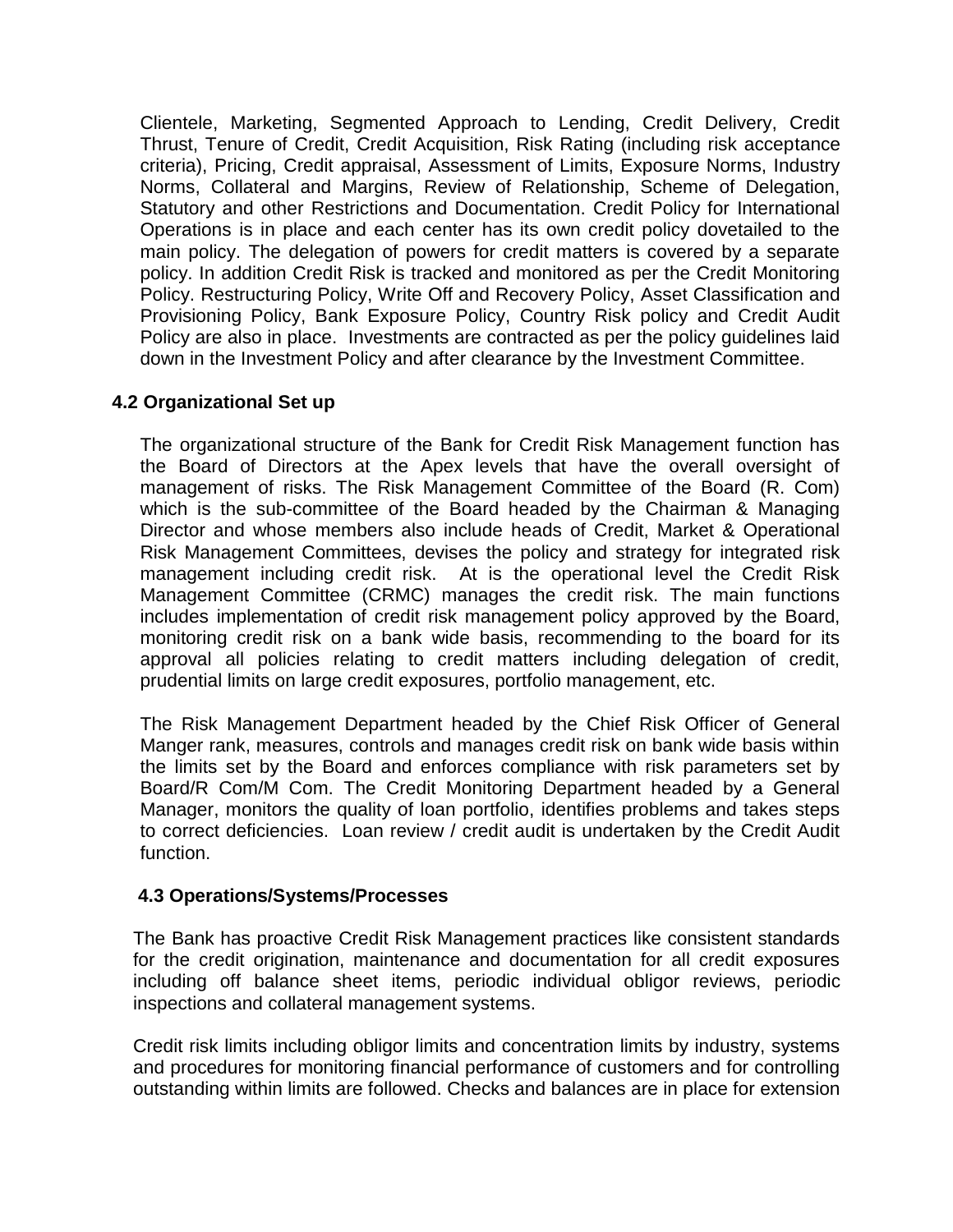Clientele, Marketing, Segmented Approach to Lending, Credit Delivery, Credit Thrust, Tenure of Credit, Credit Acquisition, Risk Rating (including risk acceptance criteria), Pricing, Credit appraisal, Assessment of Limits, Exposure Norms, Industry Norms, Collateral and Margins, Review of Relationship, Scheme of Delegation, Statutory and other Restrictions and Documentation. Credit Policy for International Operations is in place and each center has its own credit policy dovetailed to the main policy. The delegation of powers for credit matters is covered by a separate policy. In addition Credit Risk is tracked and monitored as per the Credit Monitoring Policy. Restructuring Policy, Write Off and Recovery Policy, Asset Classification and Provisioning Policy, Bank Exposure Policy, Country Risk policy and Credit Audit Policy are also in place. Investments are contracted as per the policy guidelines laid down in the Investment Policy and after clearance by the Investment Committee.

### **4.2 Organizational Set up**

The organizational structure of the Bank for Credit Risk Management function has the Board of Directors at the Apex levels that have the overall oversight of management of risks. The Risk Management Committee of the Board (R. Com) which is the sub-committee of the Board headed by the Chairman & Managing Director and whose members also include heads of Credit, Market & Operational Risk Management Committees, devises the policy and strategy for integrated risk management including credit risk. At is the operational level the Credit Risk Management Committee (CRMC) manages the credit risk. The main functions includes implementation of credit risk management policy approved by the Board, monitoring credit risk on a bank wide basis, recommending to the board for its approval all policies relating to credit matters including delegation of credit, prudential limits on large credit exposures, portfolio management, etc.

The Risk Management Department headed by the Chief Risk Officer of General Manger rank, measures, controls and manages credit risk on bank wide basis within the limits set by the Board and enforces compliance with risk parameters set by Board/R Com/M Com. The Credit Monitoring Department headed by a General Manager, monitors the quality of loan portfolio, identifies problems and takes steps to correct deficiencies. Loan review / credit audit is undertaken by the Credit Audit function.

#### **4.3 Operations/Systems/Processes**

The Bank has proactive Credit Risk Management practices like consistent standards for the credit origination, maintenance and documentation for all credit exposures including off balance sheet items, periodic individual obligor reviews, periodic inspections and collateral management systems.

Credit risk limits including obligor limits and concentration limits by industry, systems and procedures for monitoring financial performance of customers and for controlling outstanding within limits are followed. Checks and balances are in place for extension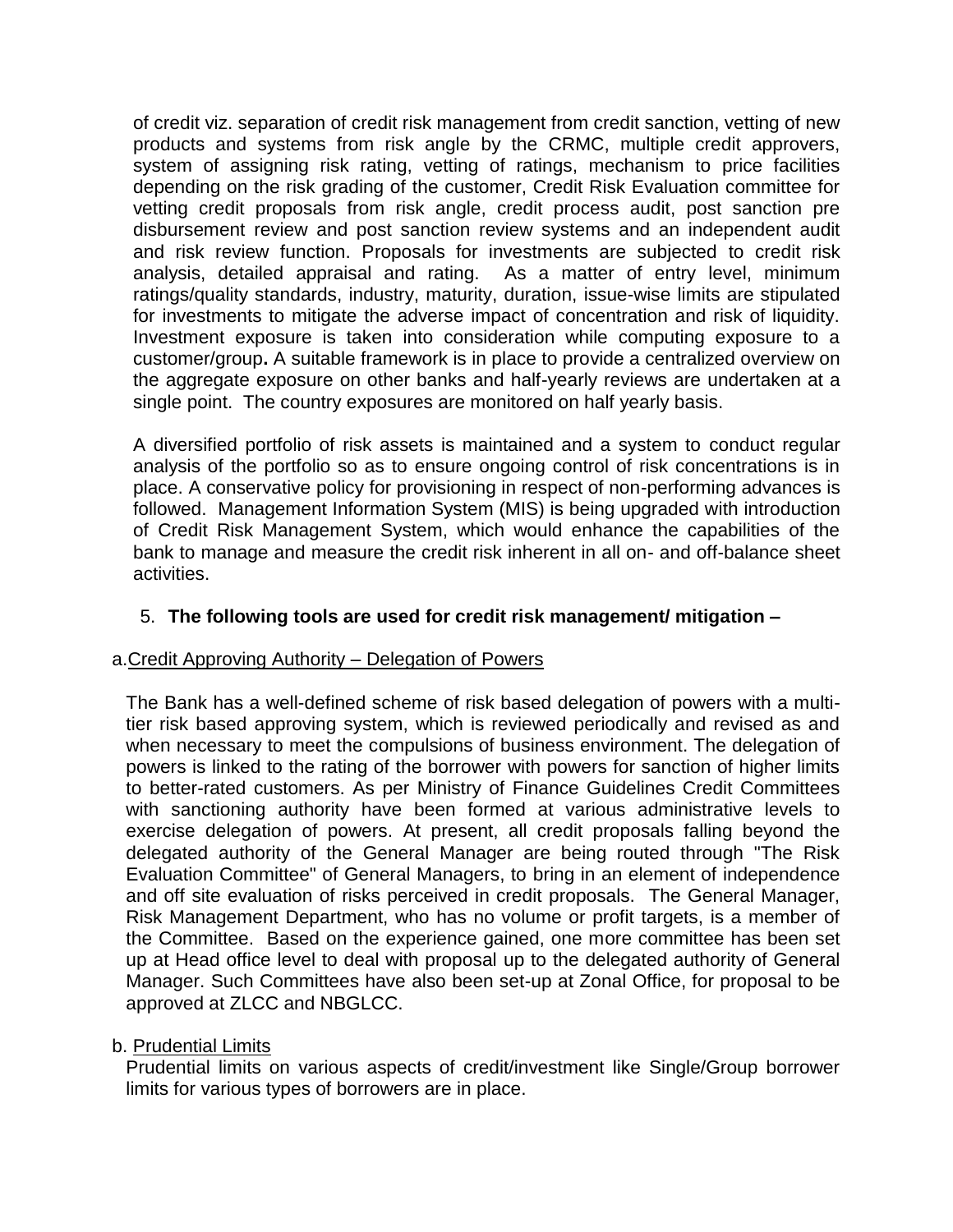of credit viz. separation of credit risk management from credit sanction, vetting of new products and systems from risk angle by the CRMC, multiple credit approvers, system of assigning risk rating, vetting of ratings, mechanism to price facilities depending on the risk grading of the customer, Credit Risk Evaluation committee for vetting credit proposals from risk angle, credit process audit, post sanction pre disbursement review and post sanction review systems and an independent audit and risk review function. Proposals for investments are subjected to credit risk analysis, detailed appraisal and rating. As a matter of entry level, minimum ratings/quality standards, industry, maturity, duration, issue-wise limits are stipulated for investments to mitigate the adverse impact of concentration and risk of liquidity. Investment exposure is taken into consideration while computing exposure to a customer/group**.** A suitable framework is in place to provide a centralized overview on the aggregate exposure on other banks and half-yearly reviews are undertaken at a single point. The country exposures are monitored on half yearly basis.

A diversified portfolio of risk assets is maintained and a system to conduct regular analysis of the portfolio so as to ensure ongoing control of risk concentrations is in place. A conservative policy for provisioning in respect of non-performing advances is followed. Management Information System (MIS) is being upgraded with introduction of Credit Risk Management System, which would enhance the capabilities of the bank to manage and measure the credit risk inherent in all on- and off-balance sheet activities.

### 5. **The following tools are used for credit risk management/ mitigation –**

#### a.Credit Approving Authority – Delegation of Powers

The Bank has a well-defined scheme of risk based delegation of powers with a multitier risk based approving system, which is reviewed periodically and revised as and when necessary to meet the compulsions of business environment. The delegation of powers is linked to the rating of the borrower with powers for sanction of higher limits to better-rated customers. As per Ministry of Finance Guidelines Credit Committees with sanctioning authority have been formed at various administrative levels to exercise delegation of powers. At present, all credit proposals falling beyond the delegated authority of the General Manager are being routed through "The Risk Evaluation Committee" of General Managers, to bring in an element of independence and off site evaluation of risks perceived in credit proposals. The General Manager, Risk Management Department, who has no volume or profit targets, is a member of the Committee. Based on the experience gained, one more committee has been set up at Head office level to deal with proposal up to the delegated authority of General Manager. Such Committees have also been set-up at Zonal Office, for proposal to be approved at ZLCC and NBGLCC.

#### b. Prudential Limits

Prudential limits on various aspects of credit/investment like Single/Group borrower limits for various types of borrowers are in place.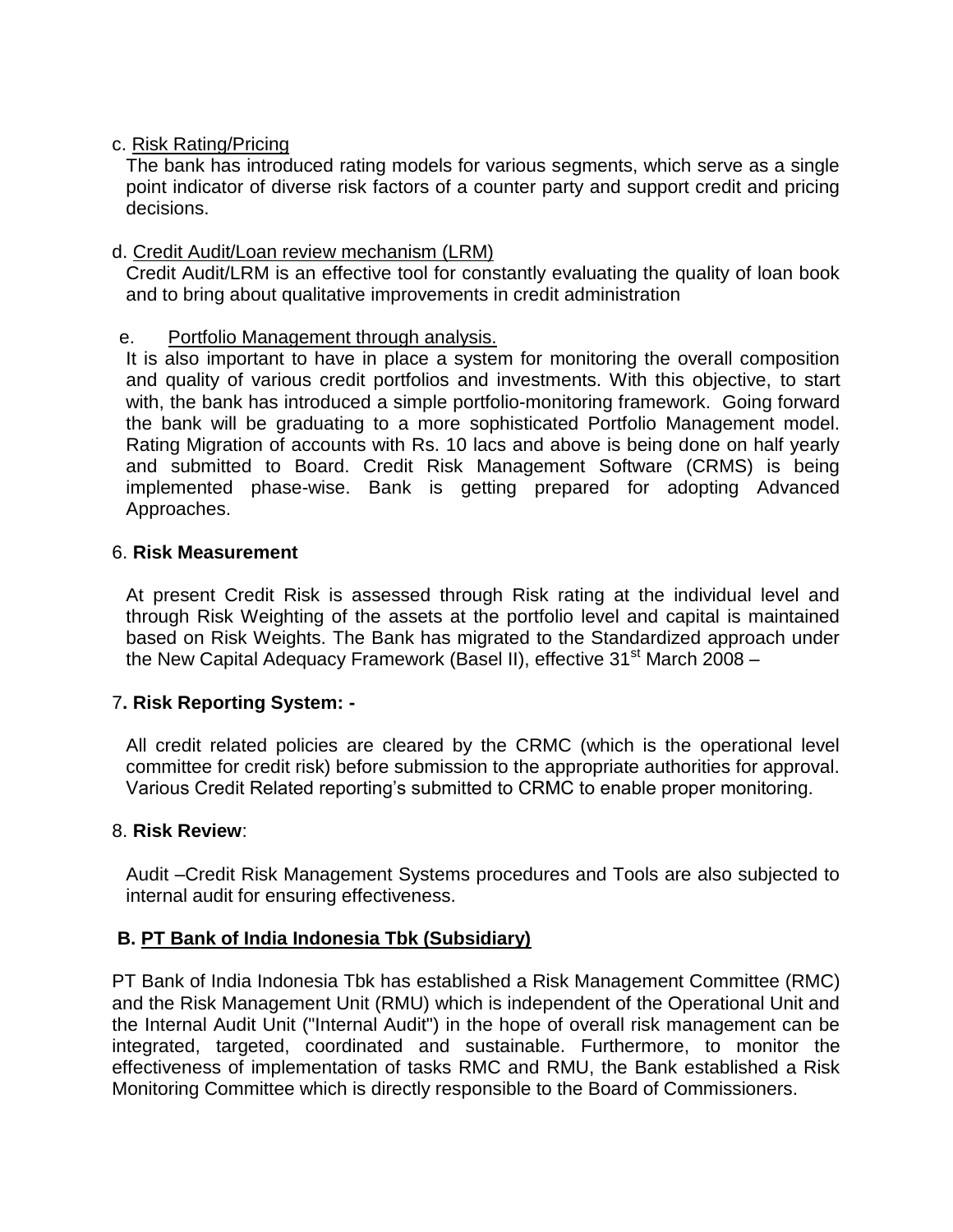#### c. Risk Rating/Pricing

The bank has introduced rating models for various segments, which serve as a single point indicator of diverse risk factors of a counter party and support credit and pricing decisions.

#### d. Credit Audit/Loan review mechanism (LRM)

Credit Audit/LRM is an effective tool for constantly evaluating the quality of loan book and to bring about qualitative improvements in credit administration

#### e. Portfolio Management through analysis.

It is also important to have in place a system for monitoring the overall composition and quality of various credit portfolios and investments. With this objective, to start with, the bank has introduced a simple portfolio-monitoring framework. Going forward the bank will be graduating to a more sophisticated Portfolio Management model. Rating Migration of accounts with Rs. 10 lacs and above is being done on half yearly and submitted to Board. Credit Risk Management Software (CRMS) is being implemented phase-wise. Bank is getting prepared for adopting Advanced Approaches.

#### 6. **Risk Measurement**

At present Credit Risk is assessed through Risk rating at the individual level and through Risk Weighting of the assets at the portfolio level and capital is maintained based on Risk Weights. The Bank has migrated to the Standardized approach under the New Capital Adequacy Framework (Basel II), effective  $31<sup>st</sup>$  March 2008 –

### 7**. Risk Reporting System: -**

All credit related policies are cleared by the CRMC (which is the operational level committee for credit risk) before submission to the appropriate authorities for approval. Various Credit Related reporting's submitted to CRMC to enable proper monitoring.

#### 8. **Risk Review**:

Audit –Credit Risk Management Systems procedures and Tools are also subjected to internal audit for ensuring effectiveness.

### **B. PT Bank of India Indonesia Tbk (Subsidiary)**

PT Bank of India Indonesia Tbk has established a Risk Management Committee (RMC) and the Risk Management Unit (RMU) which is independent of the Operational Unit and the Internal Audit Unit ("Internal Audit") in the hope of overall risk management can be integrated, targeted, coordinated and sustainable. Furthermore, to monitor the effectiveness of implementation of tasks RMC and RMU, the Bank established a Risk Monitoring Committee which is directly responsible to the Board of Commissioners.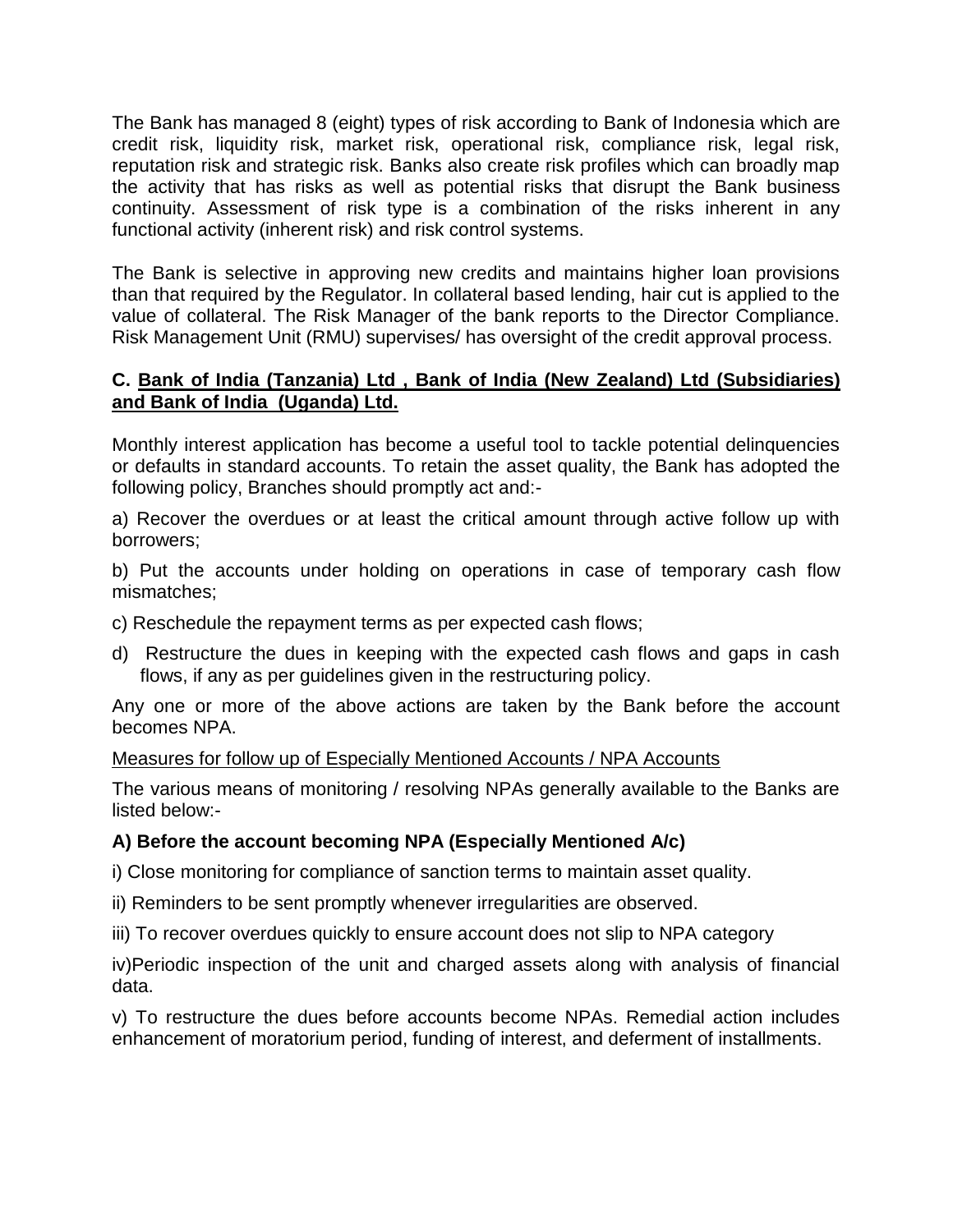The Bank has managed 8 (eight) types of risk according to Bank of Indonesia which are credit risk, liquidity risk, market risk, operational risk, compliance risk, legal risk, reputation risk and strategic risk. Banks also create risk profiles which can broadly map the activity that has risks as well as potential risks that disrupt the Bank business continuity. Assessment of risk type is a combination of the risks inherent in any functional activity (inherent risk) and risk control systems.

The Bank is selective in approving new credits and maintains higher loan provisions than that required by the Regulator. In collateral based lending, hair cut is applied to the value of collateral. The Risk Manager of the bank reports to the Director Compliance. Risk Management Unit (RMU) supervises/ has oversight of the credit approval process.

#### **C. Bank of India (Tanzania) Ltd , Bank of India (New Zealand) Ltd (Subsidiaries) and Bank of India (Uganda) Ltd.**

Monthly interest application has become a useful tool to tackle potential delinquencies or defaults in standard accounts. To retain the asset quality, the Bank has adopted the following policy, Branches should promptly act and:-

a) Recover the overdues or at least the critical amount through active follow up with borrowers;

b) Put the accounts under holding on operations in case of temporary cash flow mismatches;

- c) Reschedule the repayment terms as per expected cash flows;
- d) Restructure the dues in keeping with the expected cash flows and gaps in cash flows, if any as per guidelines given in the restructuring policy.

Any one or more of the above actions are taken by the Bank before the account becomes NPA.

#### Measures for follow up of Especially Mentioned Accounts / NPA Accounts

The various means of monitoring / resolving NPAs generally available to the Banks are listed below:-

### **A) Before the account becoming NPA (Especially Mentioned A/c)**

i) Close monitoring for compliance of sanction terms to maintain asset quality.

ii) Reminders to be sent promptly whenever irregularities are observed.

iii) To recover overdues quickly to ensure account does not slip to NPA category

iv)Periodic inspection of the unit and charged assets along with analysis of financial data.

v) To restructure the dues before accounts become NPAs. Remedial action includes enhancement of moratorium period, funding of interest, and deferment of installments.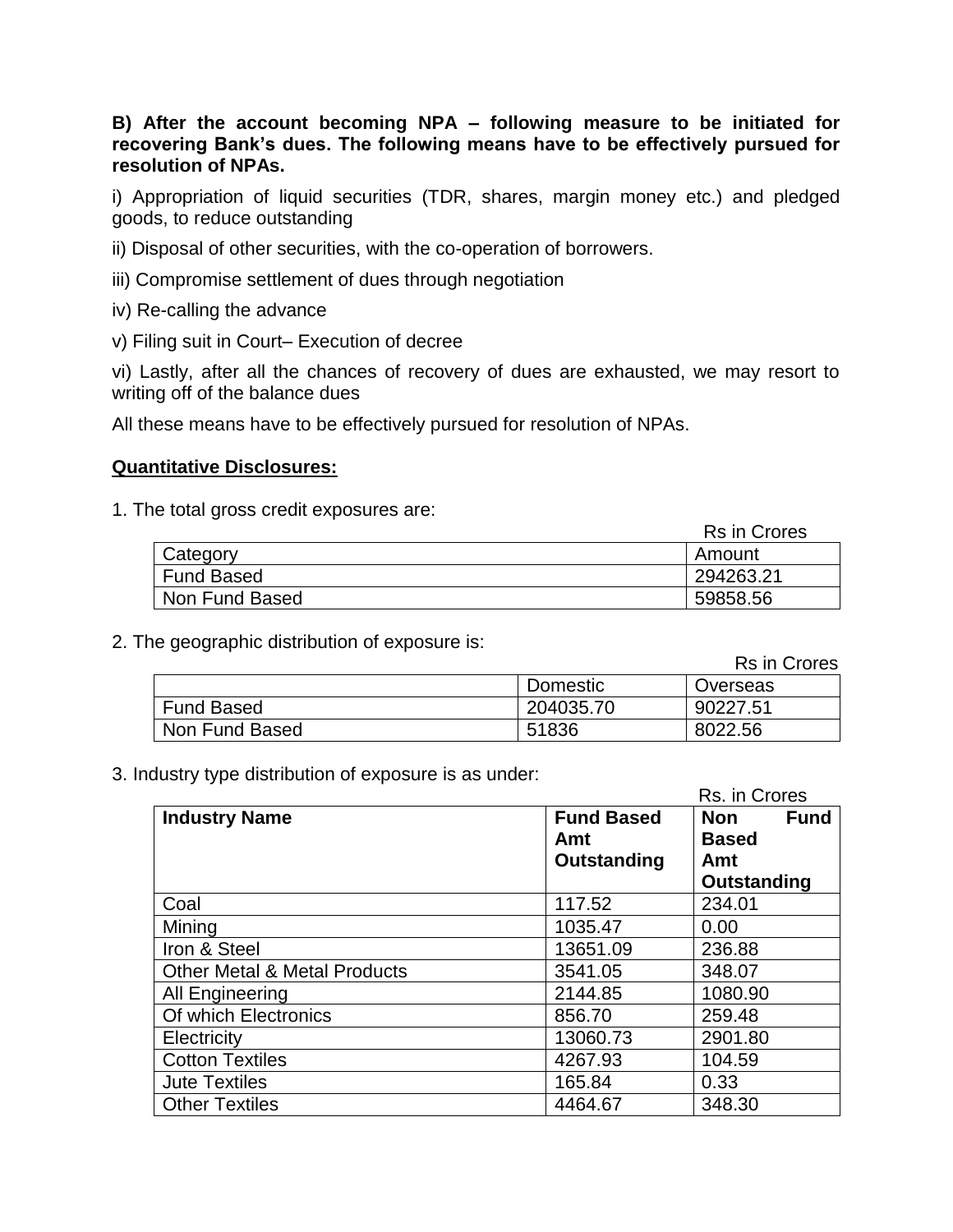**B) After the account becoming NPA – following measure to be initiated for recovering Bank's dues. The following means have to be effectively pursued for resolution of NPAs.**

i) Appropriation of liquid securities (TDR, shares, margin money etc.) and pledged goods, to reduce outstanding

- ii) Disposal of other securities, with the co-operation of borrowers.
- iii) Compromise settlement of dues through negotiation
- iv) Re-calling the advance
- v) Filing suit in Court– Execution of decree

vi) Lastly, after all the chances of recovery of dues are exhausted, we may resort to writing off of the balance dues

All these means have to be effectively pursued for resolution of NPAs.

#### **Quantitative Disclosures:**

1. The total gross credit exposures are:

|                   | <b>Rs in Crores</b> |
|-------------------|---------------------|
| Category          | Amount              |
| <b>Fund Based</b> | 294263.21           |
| Non Fund Based    | 59858.56            |

2. The geographic distribution of exposure is:

|                   |           | Rs in Crores |
|-------------------|-----------|--------------|
|                   | Domestic  | Overseas     |
| <b>Fund Based</b> | 204035.70 | 90227.51     |
| Non Fund Based    | 51836     | 8022.56      |

3. Industry type distribution of exposure is as under:

|                                         |                   | Rs. in Crores      |
|-----------------------------------------|-------------------|--------------------|
| <b>Industry Name</b>                    | <b>Fund Based</b> | Non<br><b>Fund</b> |
|                                         | Amt               | <b>Based</b>       |
|                                         | Outstanding       | Amt                |
|                                         |                   | <b>Outstanding</b> |
| Coal                                    | 117.52            | 234.01             |
| Mining                                  | 1035.47           | 0.00               |
| Iron & Steel                            | 13651.09          | 236.88             |
| <b>Other Metal &amp; Metal Products</b> | 3541.05           | 348.07             |
| <b>All Engineering</b>                  | 2144.85           | 1080.90            |
| Of which Electronics                    | 856.70            | 259.48             |
| Electricity                             | 13060.73          | 2901.80            |
| <b>Cotton Textiles</b>                  | 4267.93           | 104.59             |
| <b>Jute Textiles</b>                    | 165.84            | 0.33               |
| <b>Other Textiles</b>                   | 4464.67           | 348.30             |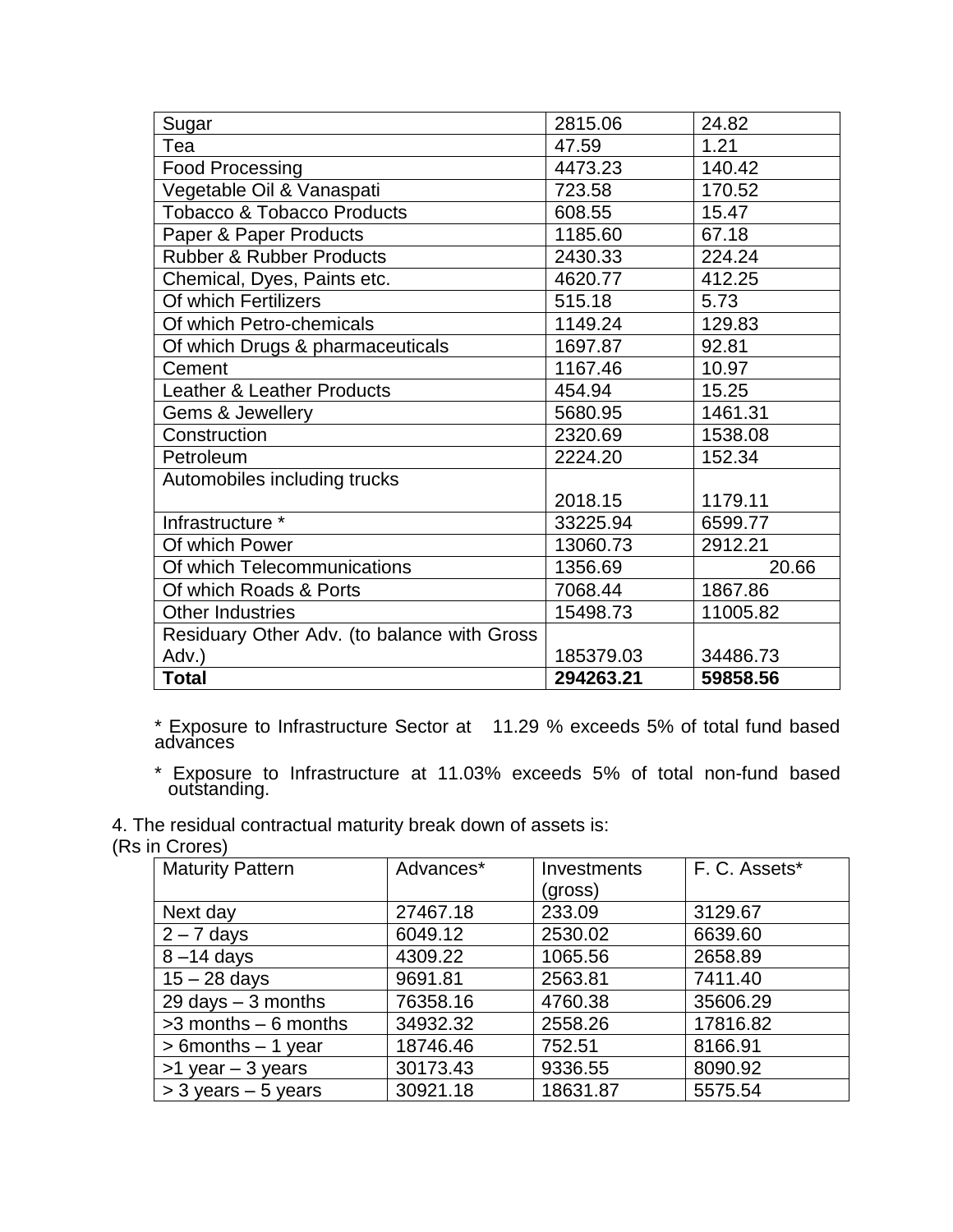| Sugar                                       | 2815.06   | 24.82    |
|---------------------------------------------|-----------|----------|
| Tea                                         | 47.59     | 1.21     |
| <b>Food Processing</b>                      | 4473.23   | 140.42   |
| Vegetable Oil & Vanaspati                   | 723.58    | 170.52   |
| <b>Tobacco &amp; Tobacco Products</b>       | 608.55    | 15.47    |
| Paper & Paper Products                      | 1185.60   | 67.18    |
| <b>Rubber &amp; Rubber Products</b>         | 2430.33   | 224.24   |
| Chemical, Dyes, Paints etc.                 | 4620.77   | 412.25   |
| Of which Fertilizers                        | 515.18    | 5.73     |
| Of which Petro-chemicals                    | 1149.24   | 129.83   |
| Of which Drugs & pharmaceuticals            | 1697.87   | 92.81    |
| Cement                                      | 1167.46   | 10.97    |
| <b>Leather &amp; Leather Products</b>       | 454.94    | 15.25    |
| Gems & Jewellery                            | 5680.95   | 1461.31  |
| Construction                                | 2320.69   | 1538.08  |
| Petroleum                                   | 2224.20   | 152.34   |
| Automobiles including trucks                |           |          |
|                                             | 2018.15   | 1179.11  |
| Infrastructure *                            | 33225.94  | 6599.77  |
| Of which Power                              | 13060.73  | 2912.21  |
| Of which Telecommunications                 | 1356.69   | 20.66    |
| Of which Roads & Ports                      | 7068.44   | 1867.86  |
| <b>Other Industries</b>                     | 15498.73  | 11005.82 |
| Residuary Other Adv. (to balance with Gross |           |          |
| Adv.)                                       | 185379.03 | 34486.73 |
| <b>Total</b>                                | 294263.21 | 59858.56 |

\* Exposure to Infrastructure Sector at 11.29 % exceeds 5% of total fund based advances

\* Exposure to Infrastructure at 11.03% exceeds 5% of total non-fund based outstanding.

4. The residual contractual maturity break down of assets is:

(Rs in Crores)

| <b>Maturity Pattern</b> | Advances* | Investments | F. C. Assets* |
|-------------------------|-----------|-------------|---------------|
|                         |           | (gross)     |               |
| Next day                | 27467.18  | 233.09      | 3129.67       |
| $2 - 7$ days            | 6049.12   | 2530.02     | 6639.60       |
| $8 - 14$ days           | 4309.22   | 1065.56     | 2658.89       |
| $15 - 28$ days          | 9691.81   | 2563.81     | 7411.40       |
| 29 days $-3$ months     | 76358.16  | 4760.38     | 35606.29      |
| $>3$ months $-6$ months | 34932.32  | 2558.26     | 17816.82      |
| $> 6$ months $- 1$ year | 18746.46  | 752.51      | 8166.91       |
| $>1$ year $-3$ years    | 30173.43  | 9336.55     | 8090.92       |
| $>$ 3 years $-$ 5 years | 30921.18  | 18631.87    | 5575.54       |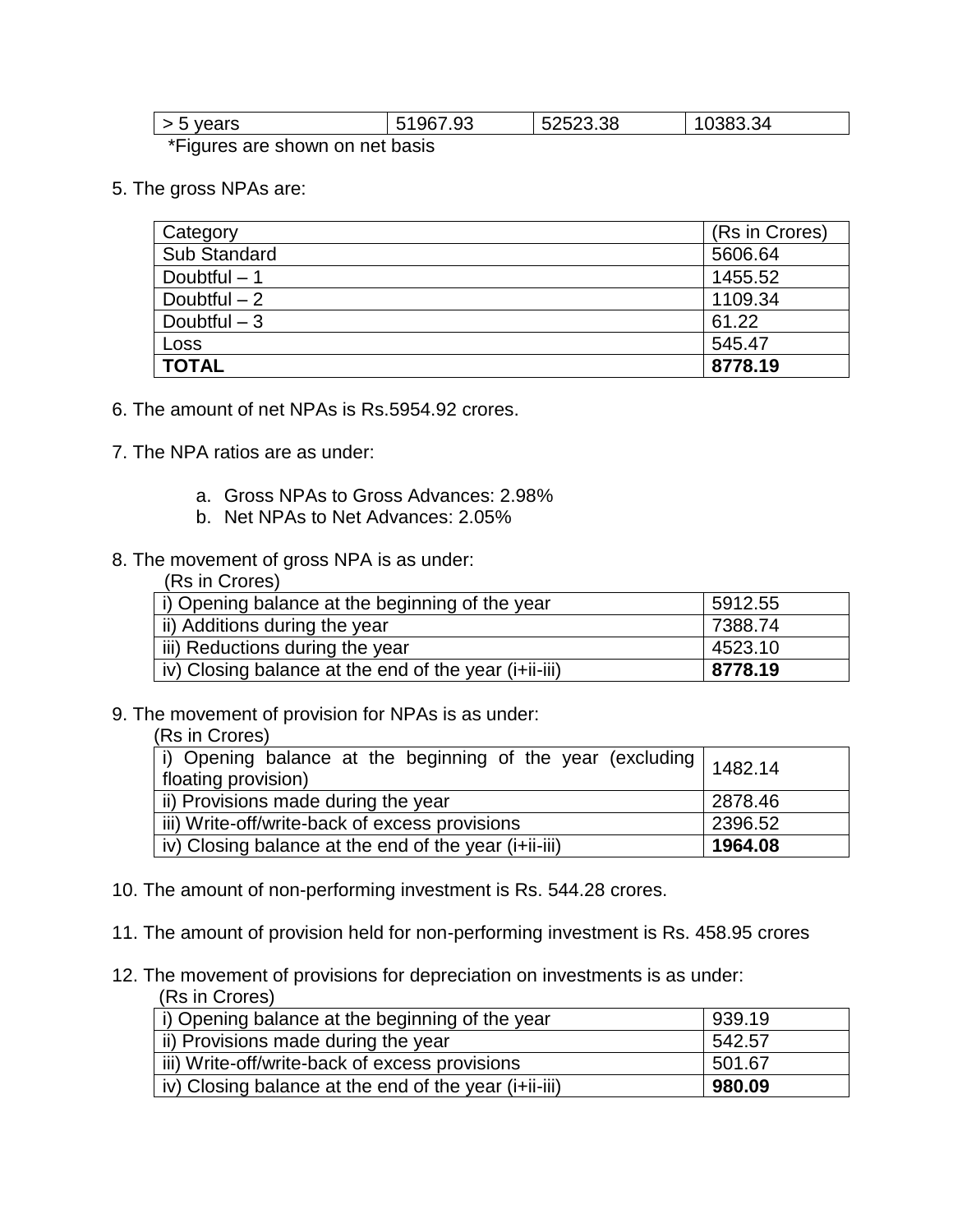| vears<br>ັ                                                                                                       | 7.93<br>чr | 52523.38 | .34<br>u,<br>. . |
|------------------------------------------------------------------------------------------------------------------|------------|----------|------------------|
| . ★ □ ! and support a support and support and support and a substitution of the substitution of the substitution |            |          |                  |

\*Figures are shown on net basis

5. The gross NPAs are:

| Category            | (Rs in Crores) |
|---------------------|----------------|
| <b>Sub Standard</b> | 5606.64        |
| Doubtful $-1$       | 1455.52        |
| Doubtful $-2$       | 1109.34        |
| Doubtful $-3$       | 61.22          |
| Loss                | 545.47         |
| <b>TOTAL</b>        | 8778.19        |

- 6. The amount of net NPAs is Rs.5954.92 crores.
- 7. The NPA ratios are as under:
	- a. Gross NPAs to Gross Advances: 2.98%
	- b. Net NPAs to Net Advances: 2.05%
- 8. The movement of gross NPA is as under:  $(D<sub>n</sub>$  in Crore

| (RS IN URICES)                                        |         |
|-------------------------------------------------------|---------|
| i) Opening balance at the beginning of the year       | 5912.55 |
| ii) Additions during the year                         | 7388.74 |
| iii) Reductions during the year                       | 4523.10 |
| iv) Closing balance at the end of the year (i+ii-iii) | 8778.19 |

9. The movement of provision for NPAs is as under:

|  |  | (Rs in Crores) |  |
|--|--|----------------|--|
|--|--|----------------|--|

| i) Opening balance at the beginning of the year (excluding $\vert$ 1482.14<br>floating provision) |         |  |
|---------------------------------------------------------------------------------------------------|---------|--|
| ii) Provisions made during the year<br>2878.46                                                    |         |  |
| iii) Write-off/write-back of excess provisions                                                    | 2396.52 |  |
| iv) Closing balance at the end of the year (i+ii-iii)                                             | 1964.08 |  |

- 10. The amount of non-performing investment is Rs. 544.28 crores.
- 11. The amount of provision held for non-performing investment is Rs. 458.95 crores
- 12. The movement of provisions for depreciation on investments is as under: (Rs in Crores)

| ונטטוט ווו טוון $\sigma$                              |        |
|-------------------------------------------------------|--------|
| i) Opening balance at the beginning of the year       | 939.19 |
| ii) Provisions made during the year                   | 542.57 |
| iii) Write-off/write-back of excess provisions        | 501.67 |
| iv) Closing balance at the end of the year (i+ii-iii) | 980.09 |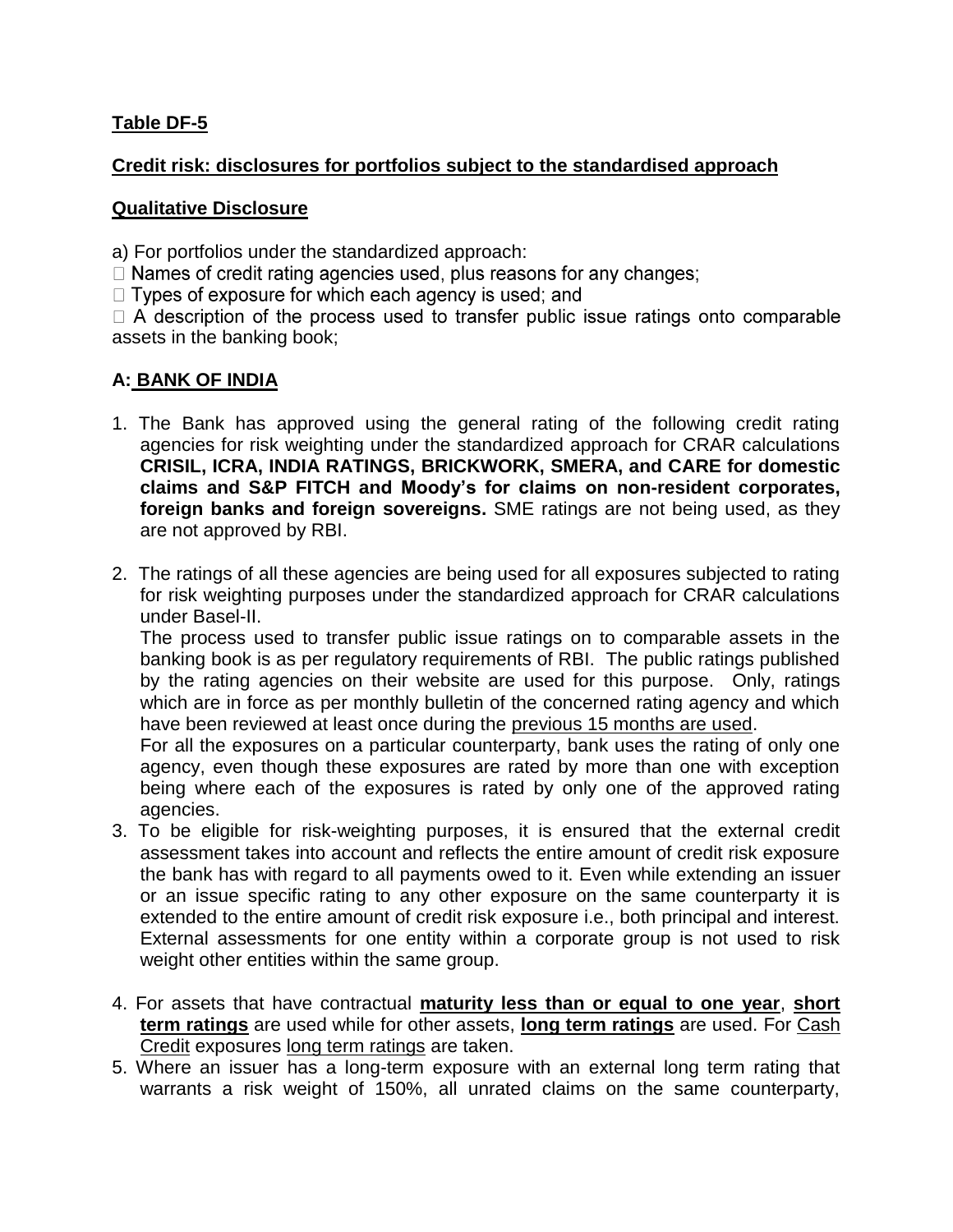### **Table DF-5**

### **Credit risk: disclosures for portfolios subject to the standardised approach**

#### **Qualitative Disclosure**

a) For portfolios under the standardized approach:

 $\Box$  Names of credit rating agencies used, plus reasons for any changes;

 $\Box$  Types of exposure for which each agency is used; and

 $\Box$  A description of the process used to transfer public issue ratings onto comparable assets in the banking book;

### **A: BANK OF INDIA**

- 1. The Bank has approved using the general rating of the following credit rating agencies for risk weighting under the standardized approach for CRAR calculations **CRISIL, ICRA, INDIA RATINGS, BRICKWORK, SMERA, and CARE for domestic claims and S&P FITCH and Moody's for claims on non-resident corporates, foreign banks and foreign sovereigns.** SME ratings are not being used, as they are not approved by RBI.
- 2. The ratings of all these agencies are being used for all exposures subjected to rating for risk weighting purposes under the standardized approach for CRAR calculations under Basel-II.

The process used to transfer public issue ratings on to comparable assets in the banking book is as per regulatory requirements of RBI. The public ratings published by the rating agencies on their website are used for this purpose. Only, ratings which are in force as per monthly bulletin of the concerned rating agency and which have been reviewed at least once during the previous 15 months are used.

For all the exposures on a particular counterparty, bank uses the rating of only one agency, even though these exposures are rated by more than one with exception being where each of the exposures is rated by only one of the approved rating agencies.

- 3. To be eligible for risk-weighting purposes, it is ensured that the external credit assessment takes into account and reflects the entire amount of credit risk exposure the bank has with regard to all payments owed to it. Even while extending an issuer or an issue specific rating to any other exposure on the same counterparty it is extended to the entire amount of credit risk exposure i.e., both principal and interest. External assessments for one entity within a corporate group is not used to risk weight other entities within the same group.
- 4. For assets that have contractual **maturity less than or equal to one year**, **short term ratings** are used while for other assets, **long term ratings** are used. For Cash Credit exposures long term ratings are taken.
- 5. Where an issuer has a long-term exposure with an external long term rating that warrants a risk weight of 150%, all unrated claims on the same counterparty,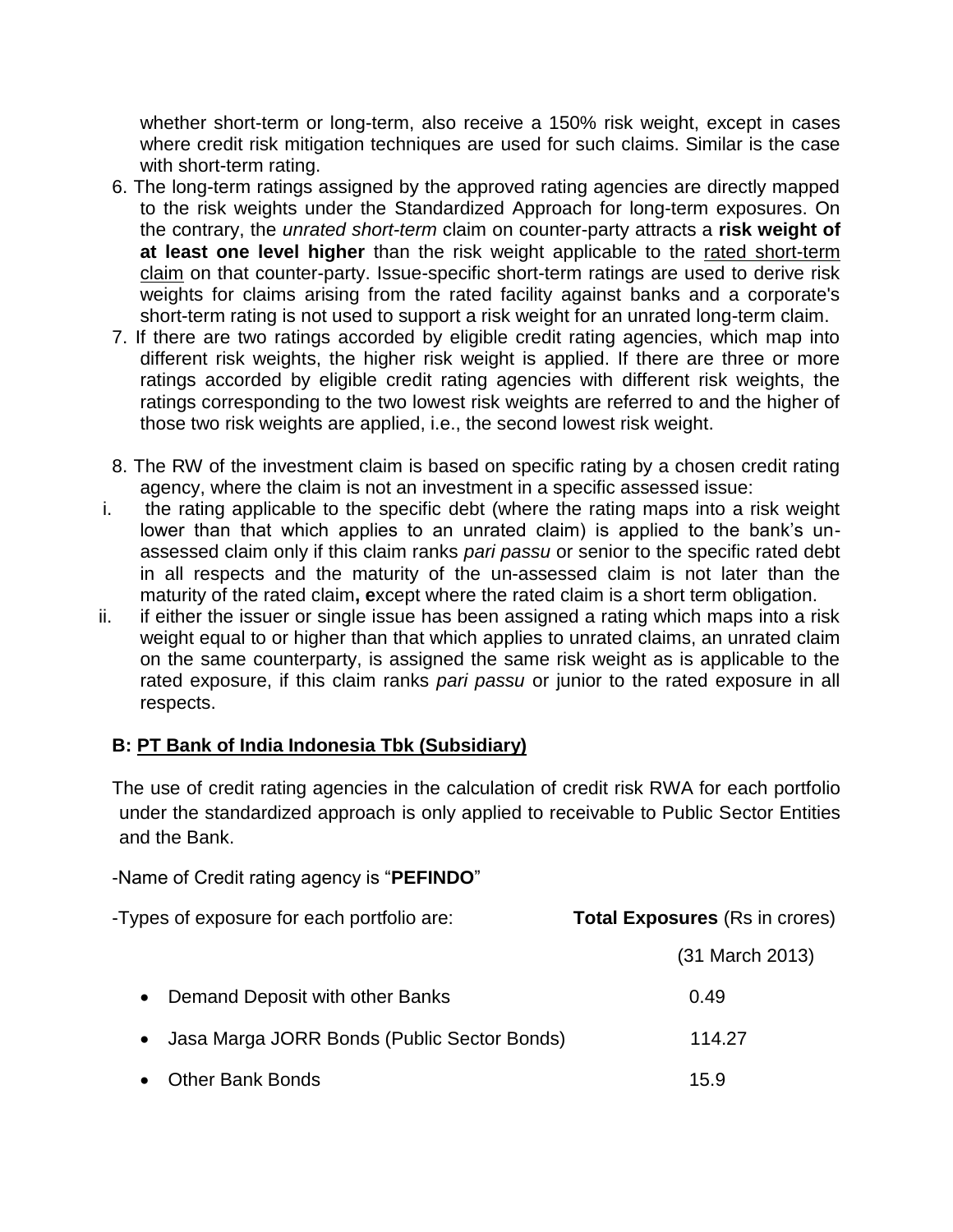whether short-term or long-term, also receive a 150% risk weight, except in cases where credit risk mitigation techniques are used for such claims. Similar is the case with short-term rating.

- 6. The long-term ratings assigned by the approved rating agencies are directly mapped to the risk weights under the Standardized Approach for long-term exposures. On the contrary, the *unrated short-term* claim on counter-party attracts a **risk weight of at least one level higher** than the risk weight applicable to the rated short-term claim on that counter-party. Issue-specific short-term ratings are used to derive risk weights for claims arising from the rated facility against banks and a corporate's short-term rating is not used to support a risk weight for an unrated long-term claim.
- 7. If there are two ratings accorded by eligible credit rating agencies, which map into different risk weights, the higher risk weight is applied. If there are three or more ratings accorded by eligible credit rating agencies with different risk weights, the ratings corresponding to the two lowest risk weights are referred to and the higher of those two risk weights are applied, i.e., the second lowest risk weight.
- 8. The RW of the investment claim is based on specific rating by a chosen credit rating agency, where the claim is not an investment in a specific assessed issue:
- i. the rating applicable to the specific debt (where the rating maps into a risk weight lower than that which applies to an unrated claim) is applied to the bank's unassessed claim only if this claim ranks *pari passu* or senior to the specific rated debt in all respects and the maturity of the un-assessed claim is not later than the maturity of the rated claim**, e**xcept where the rated claim is a short term obligation.
- ii. if either the issuer or single issue has been assigned a rating which maps into a risk weight equal to or higher than that which applies to unrated claims, an unrated claim on the same counterparty, is assigned the same risk weight as is applicable to the rated exposure, if this claim ranks *pari passu* or junior to the rated exposure in all respects.

### **B: PT Bank of India Indonesia Tbk (Subsidiary)**

The use of credit rating agencies in the calculation of credit risk RWA for each portfolio under the standardized approach is only applied to receivable to Public Sector Entities and the Bank.

|  | -Name of Credit rating agency is "PEFINDO" |
|--|--------------------------------------------|
|--|--------------------------------------------|

| -Types of exposure for each portfolio are:  | <b>Total Exposures</b> (Rs in crores) |
|---------------------------------------------|---------------------------------------|
|                                             | (31 March 2013)                       |
| Demand Deposit with other Banks             | 0.49                                  |
| Jasa Marga JORR Bonds (Public Sector Bonds) | 114.27                                |
| <b>Other Bank Bonds</b>                     | 15.9                                  |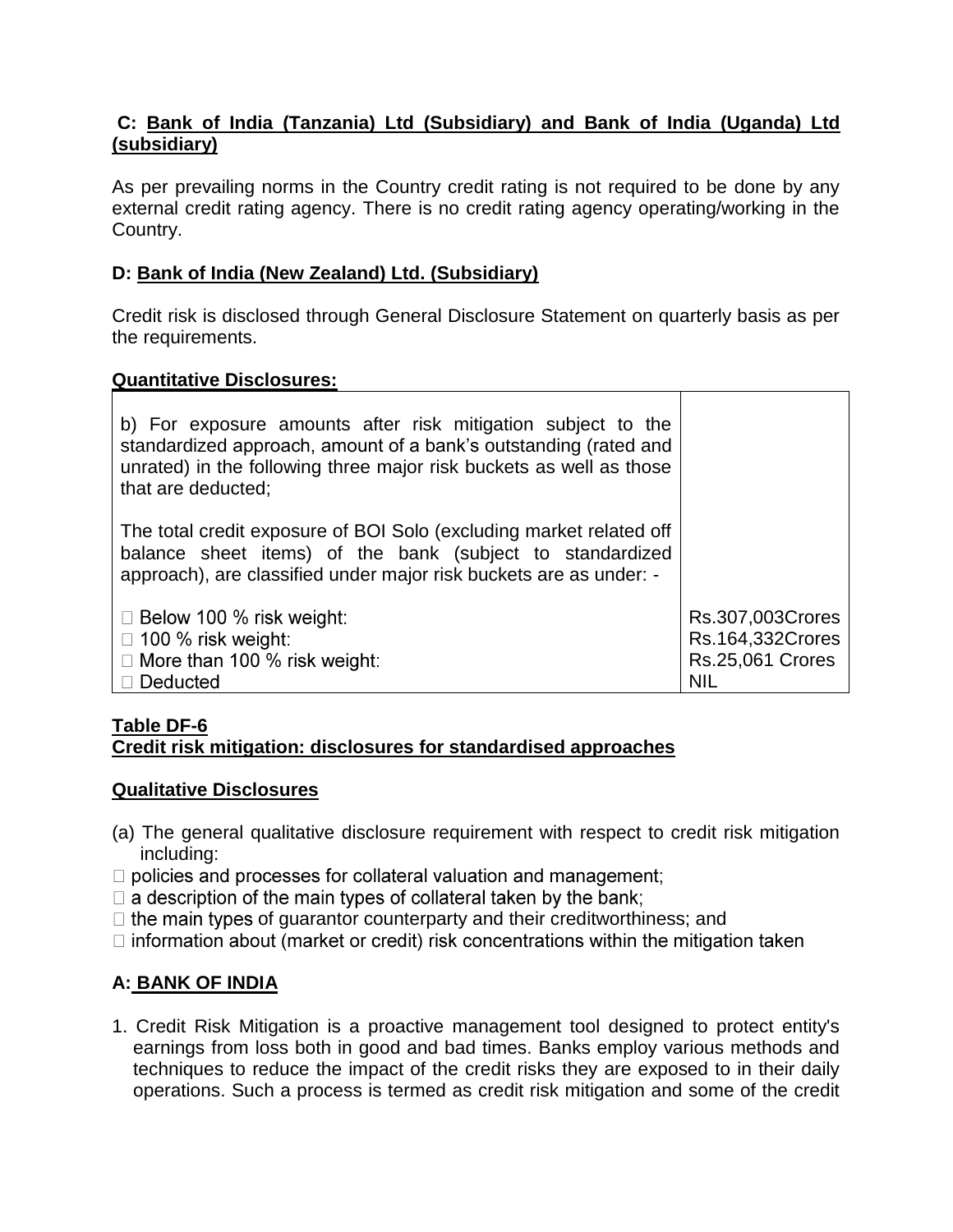### **C: Bank of India (Tanzania) Ltd (Subsidiary) and Bank of India (Uganda) Ltd (subsidiary)**

As per prevailing norms in the Country credit rating is not required to be done by any external credit rating agency. There is no credit rating agency operating/working in the Country.

### **D: Bank of India (New Zealand) Ltd. (Subsidiary)**

Credit risk is disclosed through General Disclosure Statement on quarterly basis as per the requirements.

### **Quantitative Disclosures:**

| b) For exposure amounts after risk mitigation subject to the<br>standardized approach, amount of a bank's outstanding (rated and<br>unrated) in the following three major risk buckets as well as those<br>that are deducted; |                                      |
|-------------------------------------------------------------------------------------------------------------------------------------------------------------------------------------------------------------------------------|--------------------------------------|
| The total credit exposure of BOI Solo (excluding market related off<br>balance sheet items) of the bank (subject to standardized<br>approach), are classified under major risk buckets are as under: -                        |                                      |
| $\Box$ Below 100 % risk weight:<br>$\Box$ 100 % risk weight:                                                                                                                                                                  | Rs.307,003Crores<br>Rs.164,332Crores |
| $\Box$ More than 100 % risk weight:                                                                                                                                                                                           | <b>Rs.25,061 Crores</b>              |
| Deducted                                                                                                                                                                                                                      | <b>NIL</b>                           |

#### **Table DF-6 Credit risk mitigation: disclosures for standardised approaches**

#### **Qualitative Disclosures**

- (a) The general qualitative disclosure requirement with respect to credit risk mitigation including:
- $\Box$  policies and processes for collateral valuation and management;
- $\Box$  a description of the main types of collateral taken by the bank;
- $\Box$  the main types of quarantor counterparty and their creditworthiness; and
- $\Box$  information about (market or credit) risk concentrations within the mitigation taken

### **A: BANK OF INDIA**

1. Credit Risk Mitigation is a proactive management tool designed to protect entity's earnings from loss both in good and bad times. Banks employ various methods and techniques to reduce the impact of the credit risks they are exposed to in their daily operations. Such a process is termed as credit risk mitigation and some of the credit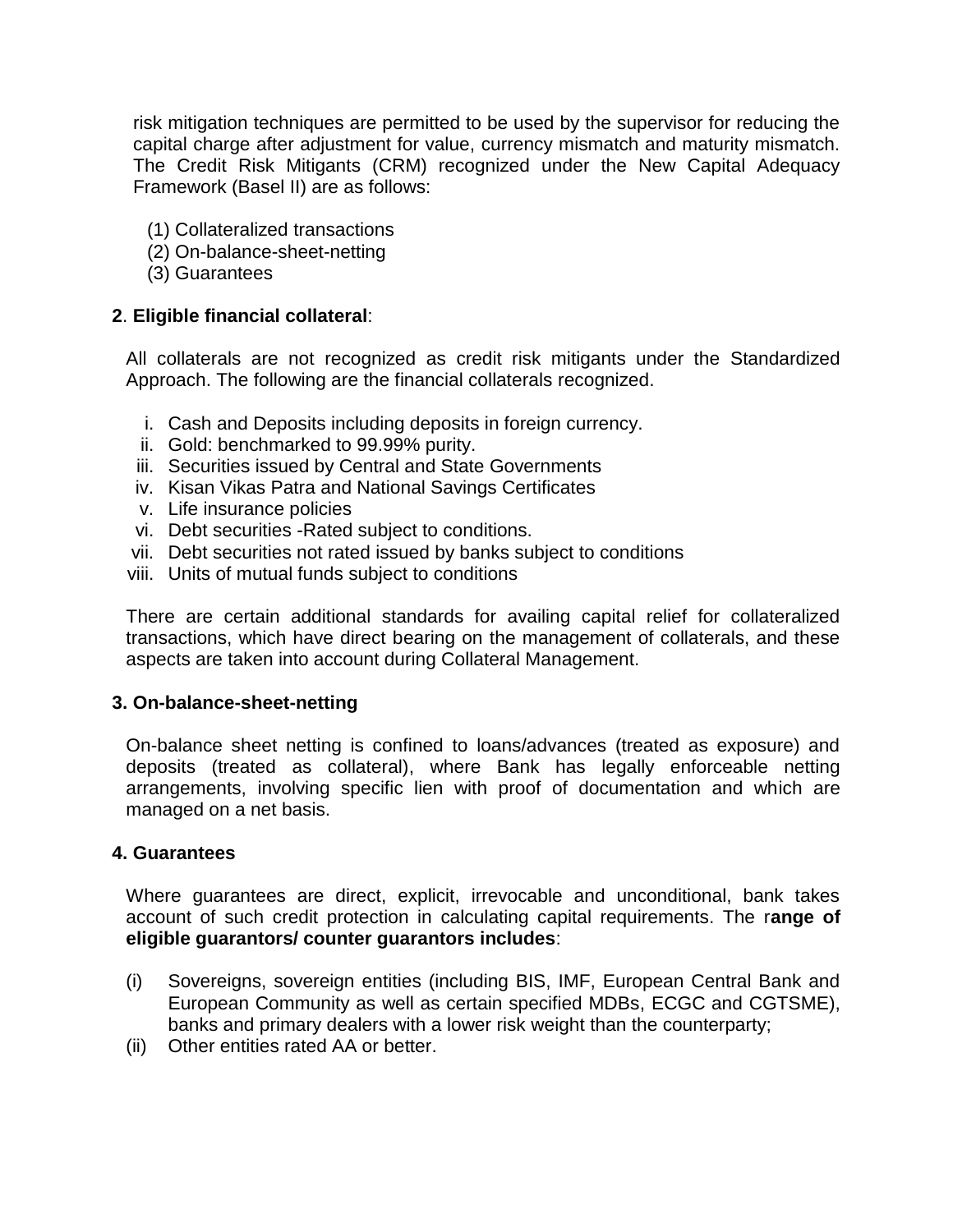risk mitigation techniques are permitted to be used by the supervisor for reducing the capital charge after adjustment for value, currency mismatch and maturity mismatch. The Credit Risk Mitigants (CRM) recognized under the New Capital Adequacy Framework (Basel II) are as follows:

- (1) Collateralized transactions
- (2) On-balance-sheet-netting
- (3) Guarantees

#### **2**. **Eligible financial collateral**:

All collaterals are not recognized as credit risk mitigants under the Standardized Approach. The following are the financial collaterals recognized.

- i. Cash and Deposits including deposits in foreign currency.
- ii. Gold: benchmarked to 99.99% purity.
- iii. Securities issued by Central and State Governments
- iv. Kisan Vikas Patra and National Savings Certificates
- v. Life insurance policies
- vi. Debt securities -Rated subject to conditions.
- vii. Debt securities not rated issued by banks subject to conditions
- viii. Units of mutual funds subject to conditions

There are certain additional standards for availing capital relief for collateralized transactions, which have direct bearing on the management of collaterals, and these aspects are taken into account during Collateral Management.

#### **3. On-balance-sheet-netting**

On-balance sheet netting is confined to loans/advances (treated as exposure) and deposits (treated as collateral), where Bank has legally enforceable netting arrangements, involving specific lien with proof of documentation and which are managed on a net basis.

#### **4. Guarantees**

Where guarantees are direct, explicit, irrevocable and unconditional, bank takes account of such credit protection in calculating capital requirements. The r**ange of eligible guarantors/ counter guarantors includes**:

- (i) Sovereigns, sovereign entities (including BIS, IMF, European Central Bank and European Community as well as certain specified MDBs, ECGC and CGTSME), banks and primary dealers with a lower risk weight than the counterparty;
- (ii) Other entities rated AA or better.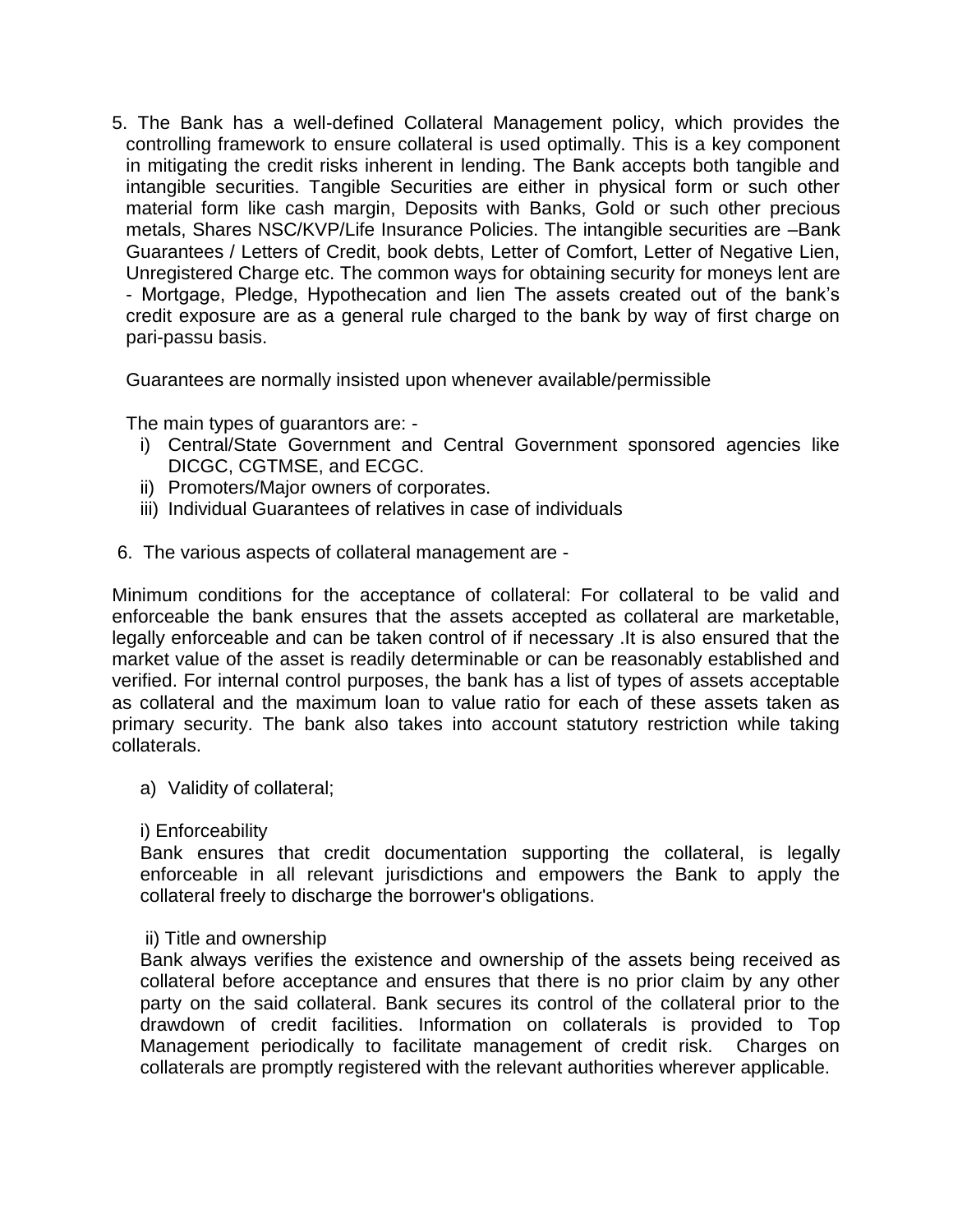5. The Bank has a well-defined Collateral Management policy, which provides the controlling framework to ensure collateral is used optimally. This is a key component in mitigating the credit risks inherent in lending. The Bank accepts both tangible and intangible securities. Tangible Securities are either in physical form or such other material form like cash margin, Deposits with Banks, Gold or such other precious metals, Shares NSC/KVP/Life Insurance Policies. The intangible securities are –Bank Guarantees / Letters of Credit, book debts, Letter of Comfort, Letter of Negative Lien, Unregistered Charge etc. The common ways for obtaining security for moneys lent are - Mortgage, Pledge, Hypothecation and lien The assets created out of the bank's credit exposure are as a general rule charged to the bank by way of first charge on pari-passu basis.

Guarantees are normally insisted upon whenever available/permissible

The main types of guarantors are: -

- i) Central/State Government and Central Government sponsored agencies like DICGC, CGTMSE, and ECGC.
- ii) Promoters/Major owners of corporates.
- iii) Individual Guarantees of relatives in case of individuals
- 6. The various aspects of collateral management are -

Minimum conditions for the acceptance of collateral: For collateral to be valid and enforceable the bank ensures that the assets accepted as collateral are marketable, legally enforceable and can be taken control of if necessary .It is also ensured that the market value of the asset is readily determinable or can be reasonably established and verified. For internal control purposes, the bank has a list of types of assets acceptable as collateral and the maximum loan to value ratio for each of these assets taken as primary security. The bank also takes into account statutory restriction while taking collaterals.

a) Validity of collateral;

#### i) Enforceability

Bank ensures that credit documentation supporting the collateral, is legally enforceable in all relevant jurisdictions and empowers the Bank to apply the collateral freely to discharge the borrower's obligations.

#### ii) Title and ownership

Bank always verifies the existence and ownership of the assets being received as collateral before acceptance and ensures that there is no prior claim by any other party on the said collateral. Bank secures its control of the collateral prior to the drawdown of credit facilities. Information on collaterals is provided to Top Management periodically to facilitate management of credit risk. Charges on collaterals are promptly registered with the relevant authorities wherever applicable.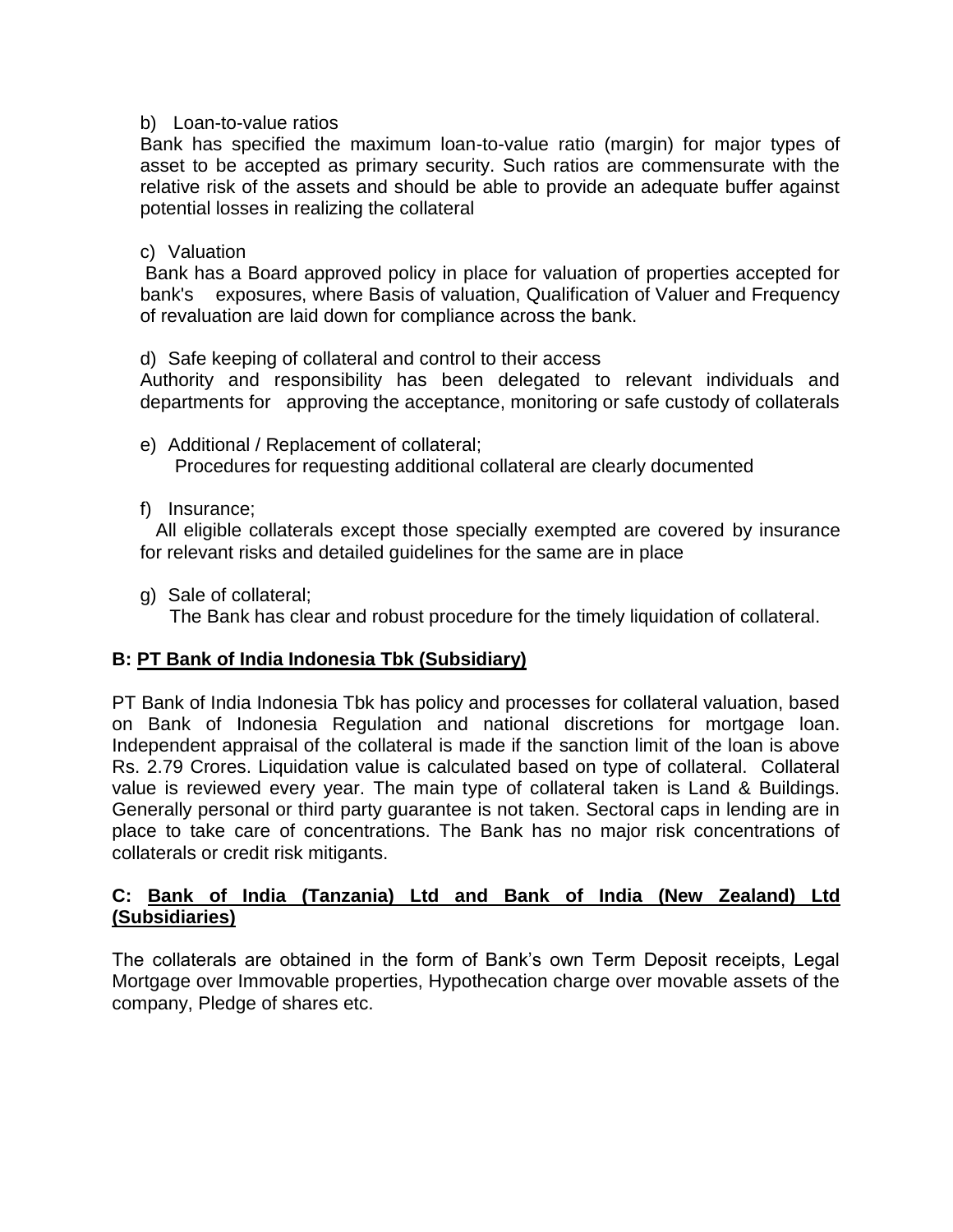#### b) Loan-to-value ratios

Bank has specified the maximum loan-to-value ratio (margin) for major types of asset to be accepted as primary security. Such ratios are commensurate with the relative risk of the assets and should be able to provide an adequate buffer against potential losses in realizing the collateral

#### c) Valuation

Bank has a Board approved policy in place for valuation of properties accepted for bank's exposures, where Basis of valuation, Qualification of Valuer and Frequency of revaluation are laid down for compliance across the bank.

d) Safe keeping of collateral and control to their access

Authority and responsibility has been delegated to relevant individuals and departments for approving the acceptance, monitoring or safe custody of collaterals

- e) Additional / Replacement of collateral; Procedures for requesting additional collateral are clearly documented
- f) Insurance;

All eligible collaterals except those specially exempted are covered by insurance for relevant risks and detailed guidelines for the same are in place

g) Sale of collateral;

The Bank has clear and robust procedure for the timely liquidation of collateral.

#### **B: PT Bank of India Indonesia Tbk (Subsidiary)**

PT Bank of India Indonesia Tbk has policy and processes for collateral valuation, based on Bank of Indonesia Regulation and national discretions for mortgage loan. Independent appraisal of the collateral is made if the sanction limit of the loan is above Rs. 2.79 Crores. Liquidation value is calculated based on type of collateral. Collateral value is reviewed every year. The main type of collateral taken is Land & Buildings. Generally personal or third party guarantee is not taken. Sectoral caps in lending are in place to take care of concentrations. The Bank has no major risk concentrations of collaterals or credit risk mitigants.

#### **C: Bank of India (Tanzania) Ltd and Bank of India (New Zealand) Ltd (Subsidiaries)**

The collaterals are obtained in the form of Bank's own Term Deposit receipts, Legal Mortgage over Immovable properties, Hypothecation charge over movable assets of the company, Pledge of shares etc.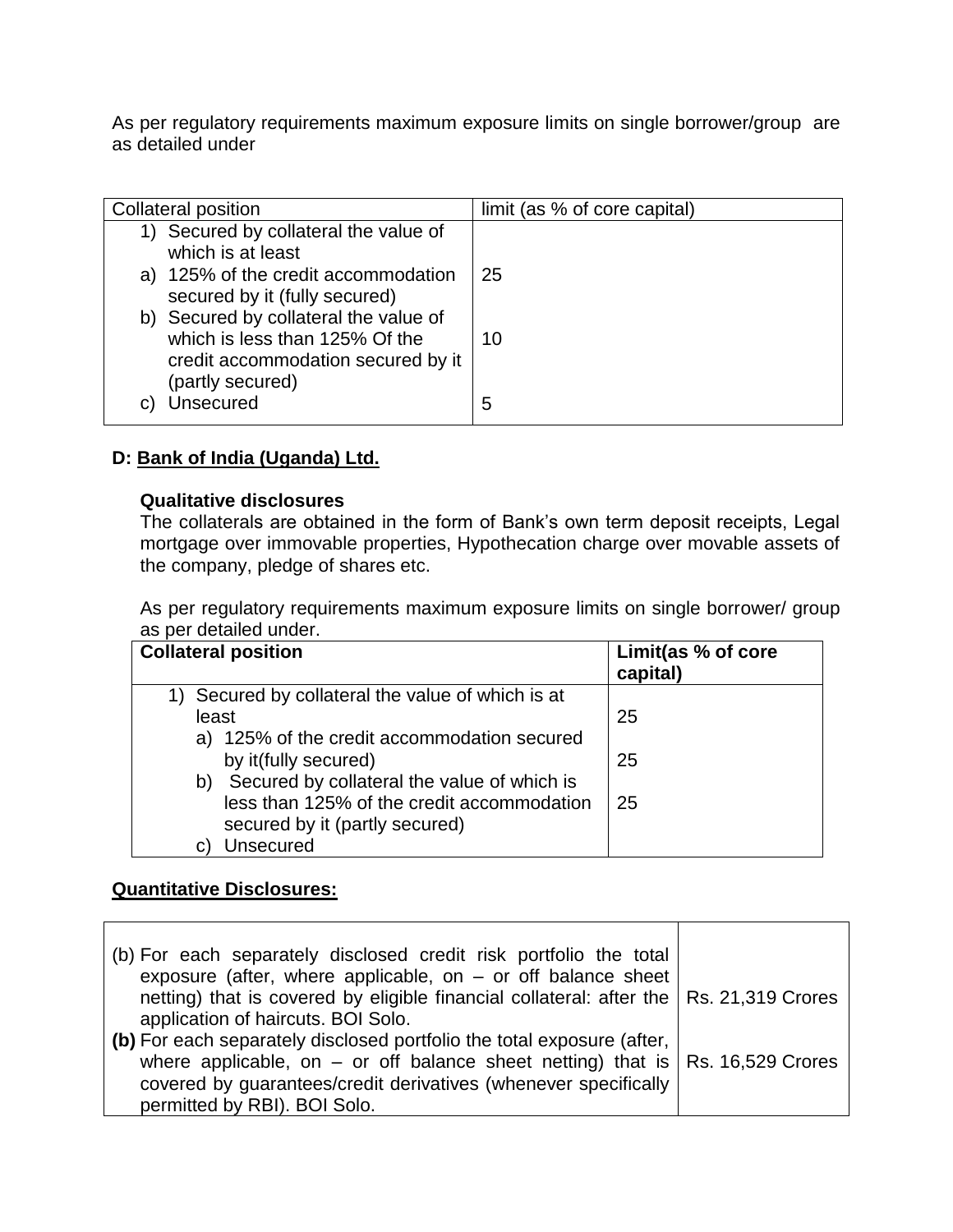As per regulatory requirements maximum exposure limits on single borrower/group are as detailed under

| <b>Collateral position</b>                                                                                                        | limit (as % of core capital) |
|-----------------------------------------------------------------------------------------------------------------------------------|------------------------------|
| Secured by collateral the value of<br>which is at least                                                                           |                              |
| a) 125% of the credit accommodation<br>secured by it (fully secured)                                                              | 25                           |
| b) Secured by collateral the value of<br>which is less than 125% Of the<br>credit accommodation secured by it<br>(partly secured) | 10                           |
| Unsecured                                                                                                                         | 5                            |

### **D: Bank of India (Uganda) Ltd.**

#### **Qualitative disclosures**

The collaterals are obtained in the form of Bank's own term deposit receipts, Legal mortgage over immovable properties, Hypothecation charge over movable assets of the company, pledge of shares etc.

As per regulatory requirements maximum exposure limits on single borrower/ group as per detailed under.

| <b>Collateral position</b>                        | Limit(as % of core<br>capital) |
|---------------------------------------------------|--------------------------------|
| 1) Secured by collateral the value of which is at |                                |
| least                                             | 25                             |
| a) 125% of the credit accommodation secured       |                                |
| by it(fully secured)                              | 25                             |
| Secured by collateral the value of which is<br>b) |                                |
| less than 125% of the credit accommodation        | 25                             |
| secured by it (partly secured)                    |                                |
| Unsecured                                         |                                |

#### **Quantitative Disclosures:**

| (b) For each separately disclosed credit risk portfolio the total<br>exposure (after, where applicable, on $-$ or off balance sheet                       |  |
|-----------------------------------------------------------------------------------------------------------------------------------------------------------|--|
| netting) that is covered by eligible financial collateral: after the   Rs. 21,319 Crores                                                                  |  |
| application of haircuts. BOI Solo.<br>(b) For each separately disclosed portfolio the total exposure (after,                                              |  |
| where applicable, on – or off balance sheet netting) that is $\vert$ Rs. 16,529 Crores<br>covered by guarantees/credit derivatives (whenever specifically |  |
| permitted by RBI). BOI Solo.                                                                                                                              |  |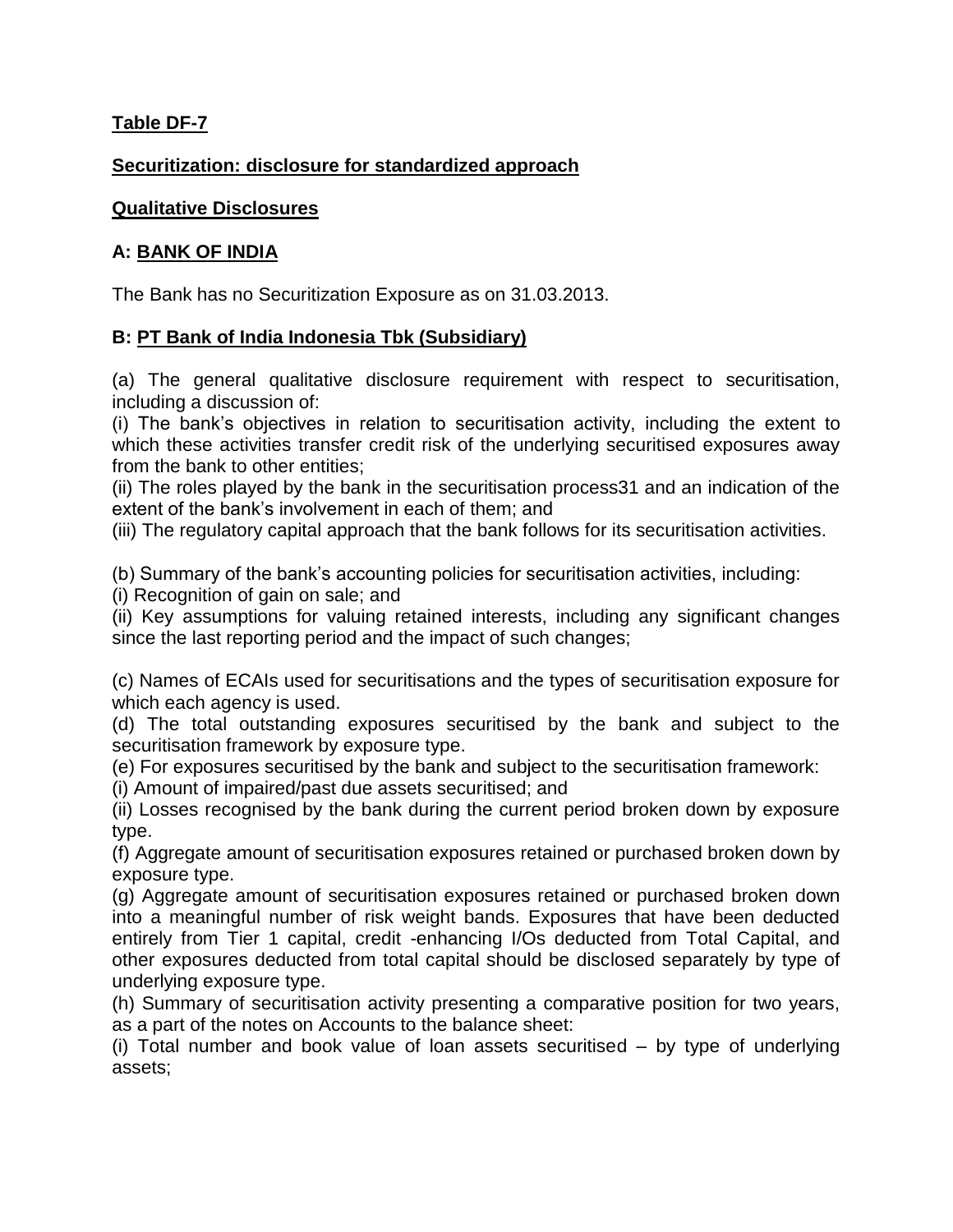### **Table DF-7**

### **Securitization: disclosure for standardized approach**

### **Qualitative Disclosures**

### **A: BANK OF INDIA**

The Bank has no Securitization Exposure as on 31.03.2013.

### **B: PT Bank of India Indonesia Tbk (Subsidiary)**

(a) The general qualitative disclosure requirement with respect to securitisation, including a discussion of:

(i) The bank's objectives in relation to securitisation activity, including the extent to which these activities transfer credit risk of the underlying securitised exposures away from the bank to other entities;

(ii) The roles played by the bank in the securitisation process31 and an indication of the extent of the bank's involvement in each of them; and

(iii) The regulatory capital approach that the bank follows for its securitisation activities.

(b) Summary of the bank's accounting policies for securitisation activities, including:

(i) Recognition of gain on sale; and

(ii) Key assumptions for valuing retained interests, including any significant changes since the last reporting period and the impact of such changes;

(c) Names of ECAIs used for securitisations and the types of securitisation exposure for which each agency is used.

(d) The total outstanding exposures securitised by the bank and subject to the securitisation framework by exposure type.

(e) For exposures securitised by the bank and subject to the securitisation framework:

(i) Amount of impaired/past due assets securitised; and

(ii) Losses recognised by the bank during the current period broken down by exposure type.

(f) Aggregate amount of securitisation exposures retained or purchased broken down by exposure type.

(g) Aggregate amount of securitisation exposures retained or purchased broken down into a meaningful number of risk weight bands. Exposures that have been deducted entirely from Tier 1 capital, credit -enhancing I/Os deducted from Total Capital, and other exposures deducted from total capital should be disclosed separately by type of underlying exposure type.

(h) Summary of securitisation activity presenting a comparative position for two years, as a part of the notes on Accounts to the balance sheet:

(i) Total number and book value of loan assets securitised – by type of underlying assets;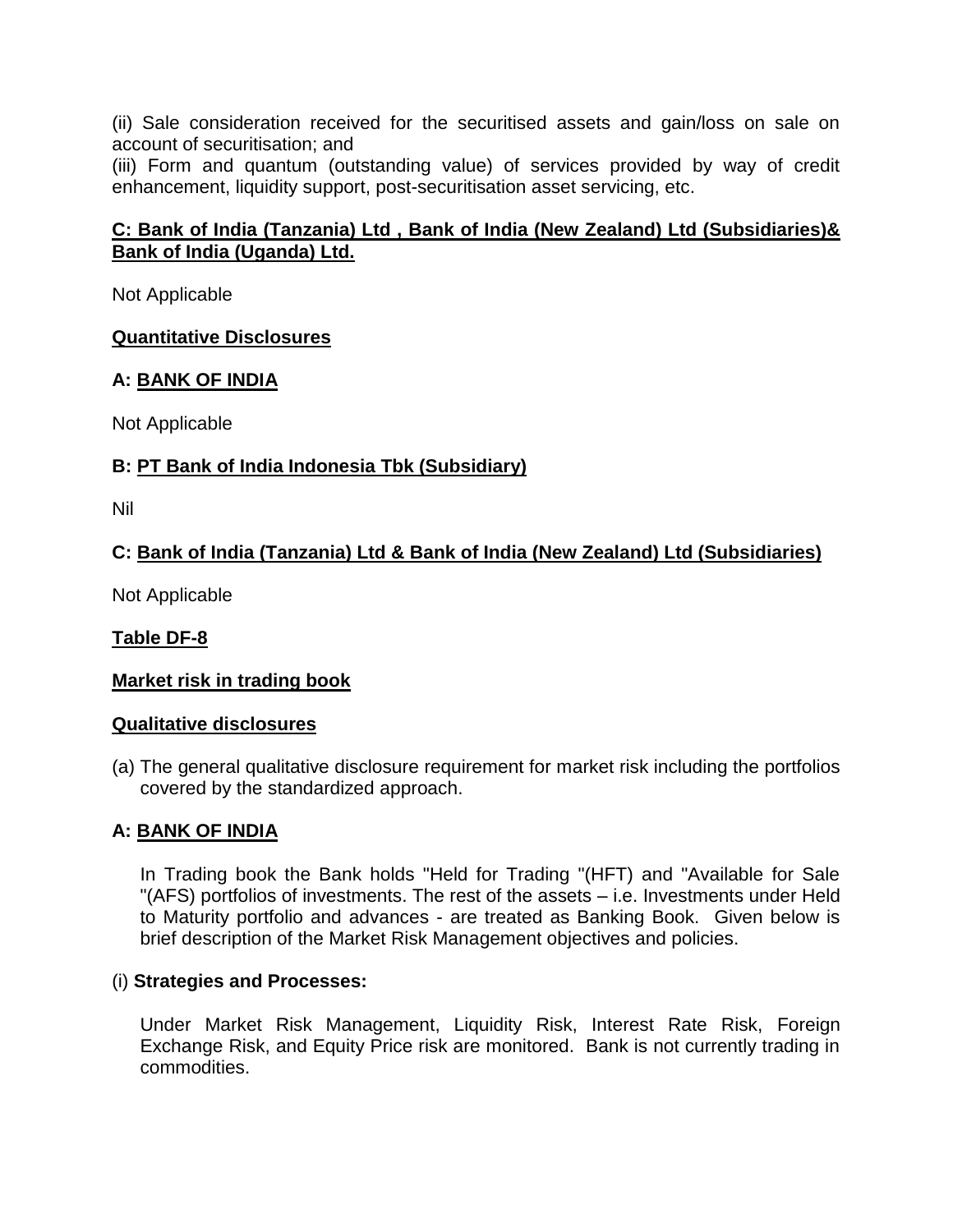(ii) Sale consideration received for the securitised assets and gain/loss on sale on account of securitisation; and

(iii) Form and quantum (outstanding value) of services provided by way of credit enhancement, liquidity support, post-securitisation asset servicing, etc.

### **C: Bank of India (Tanzania) Ltd , Bank of India (New Zealand) Ltd (Subsidiaries)& Bank of India (Uganda) Ltd.**

Not Applicable

### **Quantitative Disclosures**

### **A: BANK OF INDIA**

Not Applicable

### **B: PT Bank of India Indonesia Tbk (Subsidiary)**

Nil

### **C: Bank of India (Tanzania) Ltd & Bank of India (New Zealand) Ltd (Subsidiaries)**

Not Applicable

### **Table DF-8**

#### **Market risk in trading book**

#### **Qualitative disclosures**

(a) The general qualitative disclosure requirement for market risk including the portfolios covered by the standardized approach.

#### **A: BANK OF INDIA**

In Trading book the Bank holds "Held for Trading "(HFT) and "Available for Sale "(AFS) portfolios of investments. The rest of the assets – i.e. Investments under Held to Maturity portfolio and advances - are treated as Banking Book. Given below is brief description of the Market Risk Management objectives and policies.

#### (i) **Strategies and Processes:**

Under Market Risk Management, Liquidity Risk, Interest Rate Risk, Foreign Exchange Risk, and Equity Price risk are monitored. Bank is not currently trading in commodities.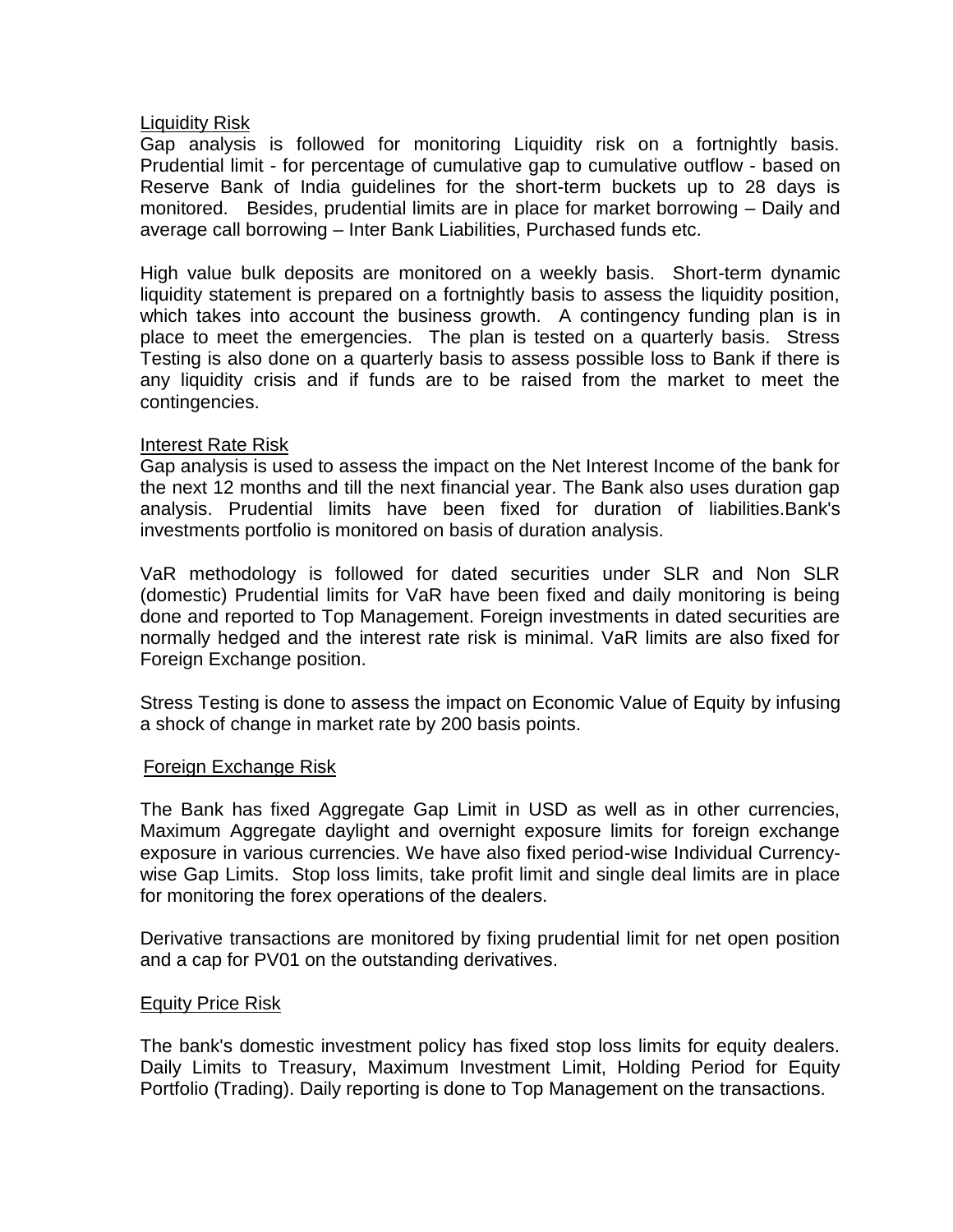#### Liquidity Risk

Gap analysis is followed for monitoring Liquidity risk on a fortnightly basis. Prudential limit - for percentage of cumulative gap to cumulative outflow - based on Reserve Bank of India guidelines for the short-term buckets up to 28 days is monitored. Besides, prudential limits are in place for market borrowing – Daily and average call borrowing – Inter Bank Liabilities, Purchased funds etc.

High value bulk deposits are monitored on a weekly basis. Short-term dynamic liquidity statement is prepared on a fortnightly basis to assess the liquidity position, which takes into account the business growth. A contingency funding plan is in place to meet the emergencies. The plan is tested on a quarterly basis. Stress Testing is also done on a quarterly basis to assess possible loss to Bank if there is any liquidity crisis and if funds are to be raised from the market to meet the contingencies.

#### Interest Rate Risk

Gap analysis is used to assess the impact on the Net Interest Income of the bank for the next 12 months and till the next financial year. The Bank also uses duration gap analysis. Prudential limits have been fixed for duration of liabilities.Bank's investments portfolio is monitored on basis of duration analysis.

VaR methodology is followed for dated securities under SLR and Non SLR (domestic) Prudential limits for VaR have been fixed and daily monitoring is being done and reported to Top Management. Foreign investments in dated securities are normally hedged and the interest rate risk is minimal. VaR limits are also fixed for Foreign Exchange position.

Stress Testing is done to assess the impact on Economic Value of Equity by infusing a shock of change in market rate by 200 basis points.

#### Foreign Exchange Risk

The Bank has fixed Aggregate Gap Limit in USD as well as in other currencies, Maximum Aggregate daylight and overnight exposure limits for foreign exchange exposure in various currencies. We have also fixed period-wise Individual Currencywise Gap Limits. Stop loss limits, take profit limit and single deal limits are in place for monitoring the forex operations of the dealers.

Derivative transactions are monitored by fixing prudential limit for net open position and a cap for PV01 on the outstanding derivatives.

#### Equity Price Risk

The bank's domestic investment policy has fixed stop loss limits for equity dealers. Daily Limits to Treasury, Maximum Investment Limit, Holding Period for Equity Portfolio (Trading). Daily reporting is done to Top Management on the transactions.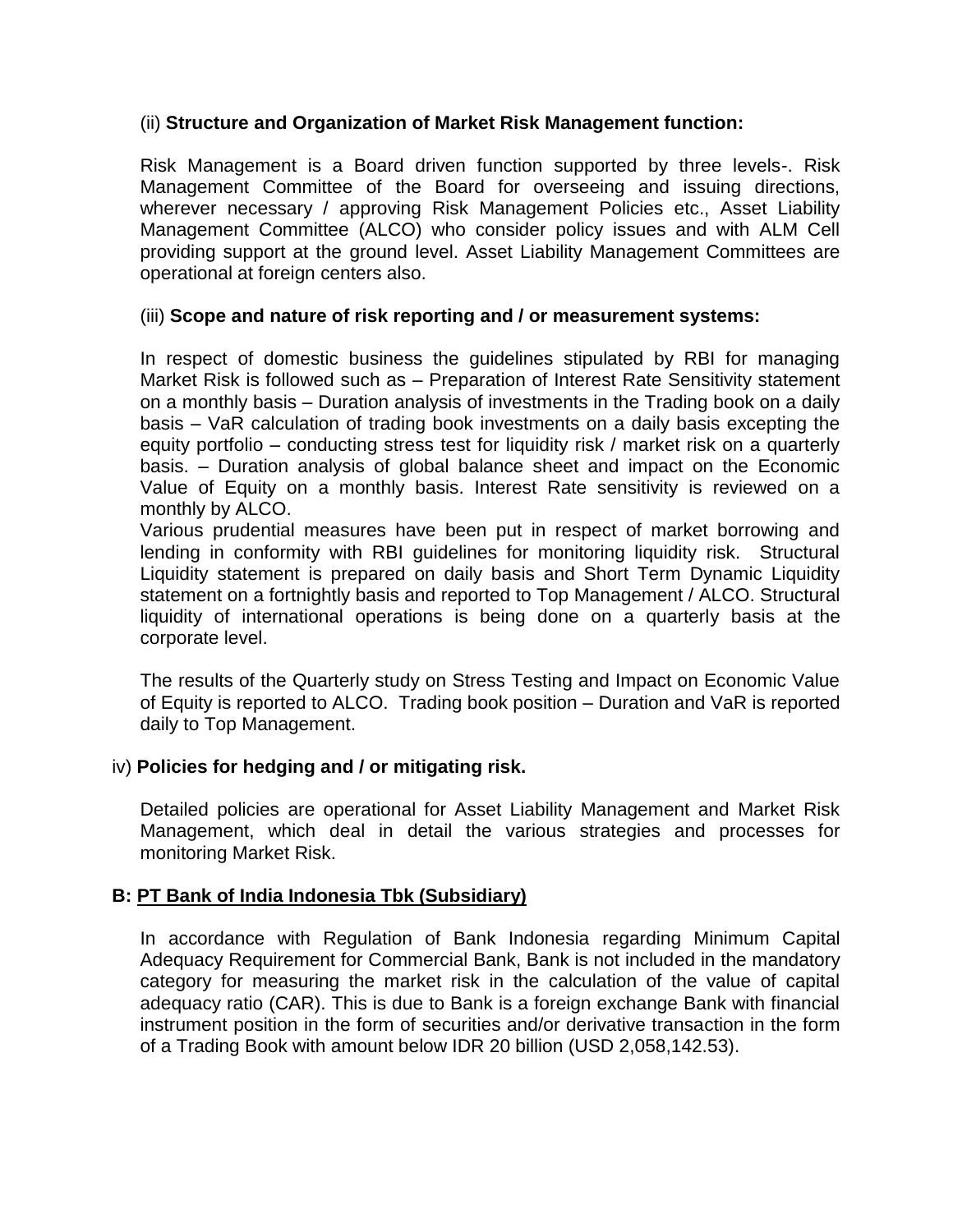#### (ii) **Structure and Organization of Market Risk Management function:**

Risk Management is a Board driven function supported by three levels-. Risk Management Committee of the Board for overseeing and issuing directions, wherever necessary / approving Risk Management Policies etc., Asset Liability Management Committee (ALCO) who consider policy issues and with ALM Cell providing support at the ground level. Asset Liability Management Committees are operational at foreign centers also.

#### (iii) **Scope and nature of risk reporting and / or measurement systems:**

In respect of domestic business the guidelines stipulated by RBI for managing Market Risk is followed such as – Preparation of Interest Rate Sensitivity statement on a monthly basis – Duration analysis of investments in the Trading book on a daily basis – VaR calculation of trading book investments on a daily basis excepting the equity portfolio – conducting stress test for liquidity risk / market risk on a quarterly basis. – Duration analysis of global balance sheet and impact on the Economic Value of Equity on a monthly basis. Interest Rate sensitivity is reviewed on a monthly by ALCO.

Various prudential measures have been put in respect of market borrowing and lending in conformity with RBI guidelines for monitoring liquidity risk. Structural Liquidity statement is prepared on daily basis and Short Term Dynamic Liquidity statement on a fortnightly basis and reported to Top Management / ALCO. Structural liquidity of international operations is being done on a quarterly basis at the corporate level.

The results of the Quarterly study on Stress Testing and Impact on Economic Value of Equity is reported to ALCO. Trading book position – Duration and VaR is reported daily to Top Management.

#### iv) **Policies for hedging and / or mitigating risk.**

Detailed policies are operational for Asset Liability Management and Market Risk Management, which deal in detail the various strategies and processes for monitoring Market Risk.

#### **B: PT Bank of India Indonesia Tbk (Subsidiary)**

In accordance with Regulation of Bank Indonesia regarding Minimum Capital Adequacy Requirement for Commercial Bank, Bank is not included in the mandatory category for measuring the market risk in the calculation of the value of capital adequacy ratio (CAR). This is due to Bank is a foreign exchange Bank with financial instrument position in the form of securities and/or derivative transaction in the form of a Trading Book with amount below IDR 20 billion (USD 2,058,142.53).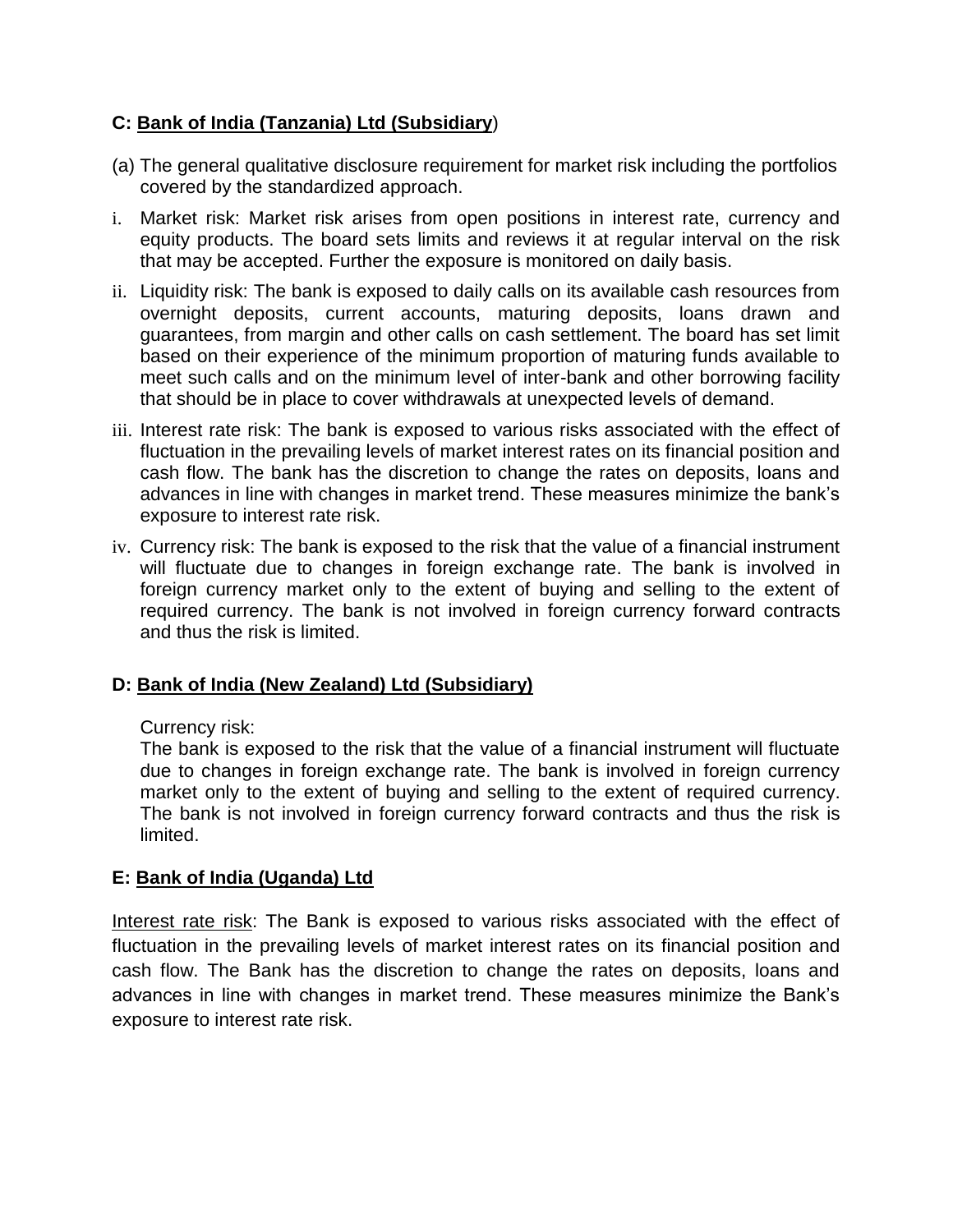### **C: Bank of India (Tanzania) Ltd (Subsidiary**)

- (a) The general qualitative disclosure requirement for market risk including the portfolios covered by the standardized approach.
- i. Market risk: Market risk arises from open positions in interest rate, currency and equity products. The board sets limits and reviews it at regular interval on the risk that may be accepted. Further the exposure is monitored on daily basis.
- ii. Liquidity risk: The bank is exposed to daily calls on its available cash resources from overnight deposits, current accounts, maturing deposits, loans drawn and guarantees, from margin and other calls on cash settlement. The board has set limit based on their experience of the minimum proportion of maturing funds available to meet such calls and on the minimum level of inter-bank and other borrowing facility that should be in place to cover withdrawals at unexpected levels of demand.
- iii. Interest rate risk: The bank is exposed to various risks associated with the effect of fluctuation in the prevailing levels of market interest rates on its financial position and cash flow. The bank has the discretion to change the rates on deposits, loans and advances in line with changes in market trend. These measures minimize the bank's exposure to interest rate risk.
- iv. Currency risk: The bank is exposed to the risk that the value of a financial instrument will fluctuate due to changes in foreign exchange rate. The bank is involved in foreign currency market only to the extent of buying and selling to the extent of required currency. The bank is not involved in foreign currency forward contracts and thus the risk is limited.

### **D: Bank of India (New Zealand) Ltd (Subsidiary)**

### Currency risk:

The bank is exposed to the risk that the value of a financial instrument will fluctuate due to changes in foreign exchange rate. The bank is involved in foreign currency market only to the extent of buying and selling to the extent of required currency. The bank is not involved in foreign currency forward contracts and thus the risk is limited.

### **E: Bank of India (Uganda) Ltd**

Interest rate risk: The Bank is exposed to various risks associated with the effect of fluctuation in the prevailing levels of market interest rates on its financial position and cash flow. The Bank has the discretion to change the rates on deposits, loans and advances in line with changes in market trend. These measures minimize the Bank's exposure to interest rate risk.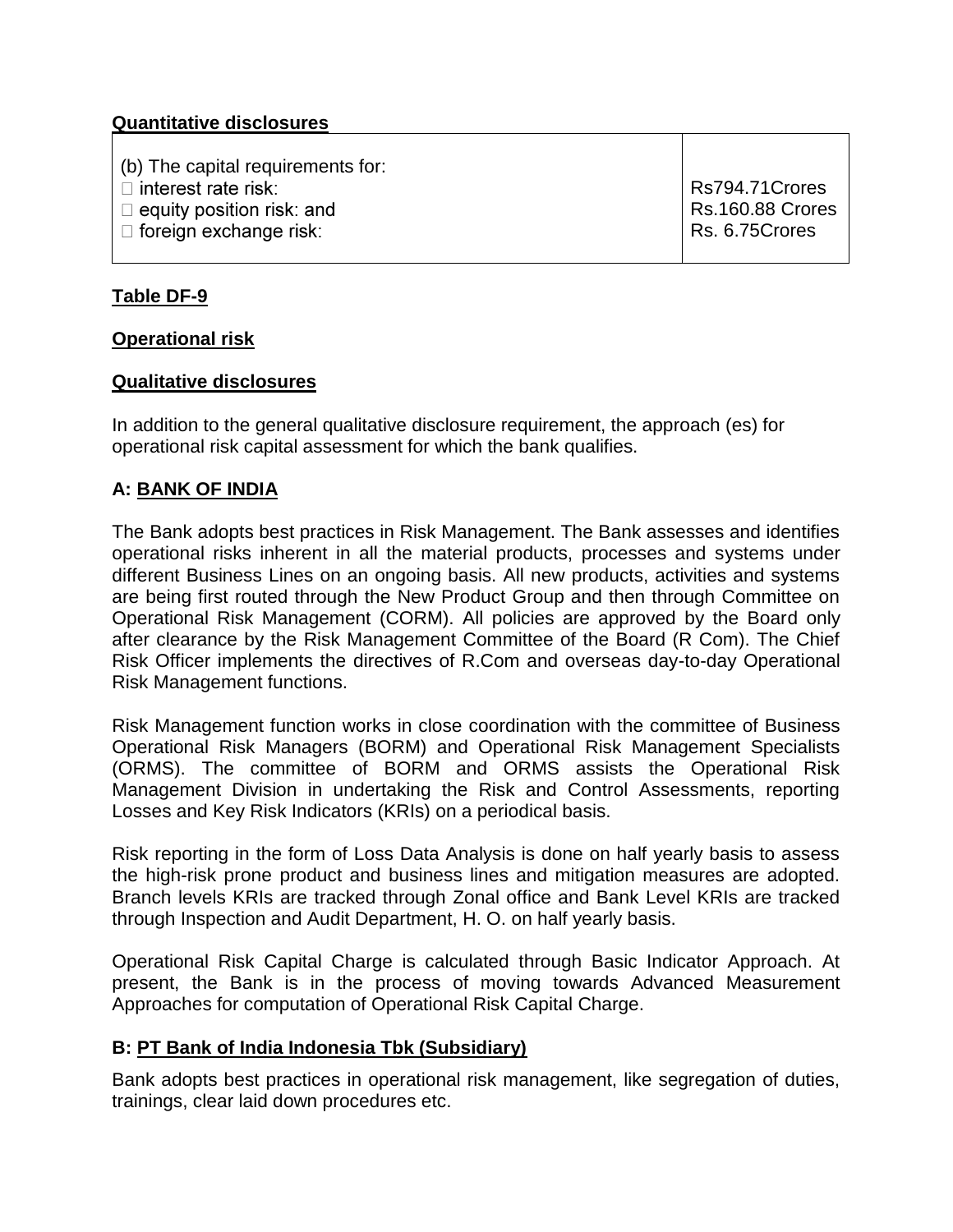### **Quantitative disclosures**

(b) The capital requirements for:

 $\Box$  interest rate risk:

 $\Box$  equity position risk: and

 $\Box$  foreign exchange risk:

Rs794.71Crores Rs.160.88 Crores Rs. 6.75Crores

### **Table DF-9**

#### **Operational risk**

#### **Qualitative disclosures**

In addition to the general qualitative disclosure requirement, the approach (es) for operational risk capital assessment for which the bank qualifies.

#### **A: BANK OF INDIA**

The Bank adopts best practices in Risk Management. The Bank assesses and identifies operational risks inherent in all the material products, processes and systems under different Business Lines on an ongoing basis. All new products, activities and systems are being first routed through the New Product Group and then through Committee on Operational Risk Management (CORM). All policies are approved by the Board only after clearance by the Risk Management Committee of the Board (R Com). The Chief Risk Officer implements the directives of R.Com and overseas day-to-day Operational Risk Management functions.

Risk Management function works in close coordination with the committee of Business Operational Risk Managers (BORM) and Operational Risk Management Specialists (ORMS). The committee of BORM and ORMS assists the Operational Risk Management Division in undertaking the Risk and Control Assessments, reporting Losses and Key Risk Indicators (KRIs) on a periodical basis.

Risk reporting in the form of Loss Data Analysis is done on half yearly basis to assess the high-risk prone product and business lines and mitigation measures are adopted. Branch levels KRIs are tracked through Zonal office and Bank Level KRIs are tracked through Inspection and Audit Department, H. O. on half yearly basis.

Operational Risk Capital Charge is calculated through Basic Indicator Approach. At present, the Bank is in the process of moving towards Advanced Measurement Approaches for computation of Operational Risk Capital Charge.

#### **B: PT Bank of India Indonesia Tbk (Subsidiary)**

Bank adopts best practices in operational risk management, like segregation of duties, trainings, clear laid down procedures etc.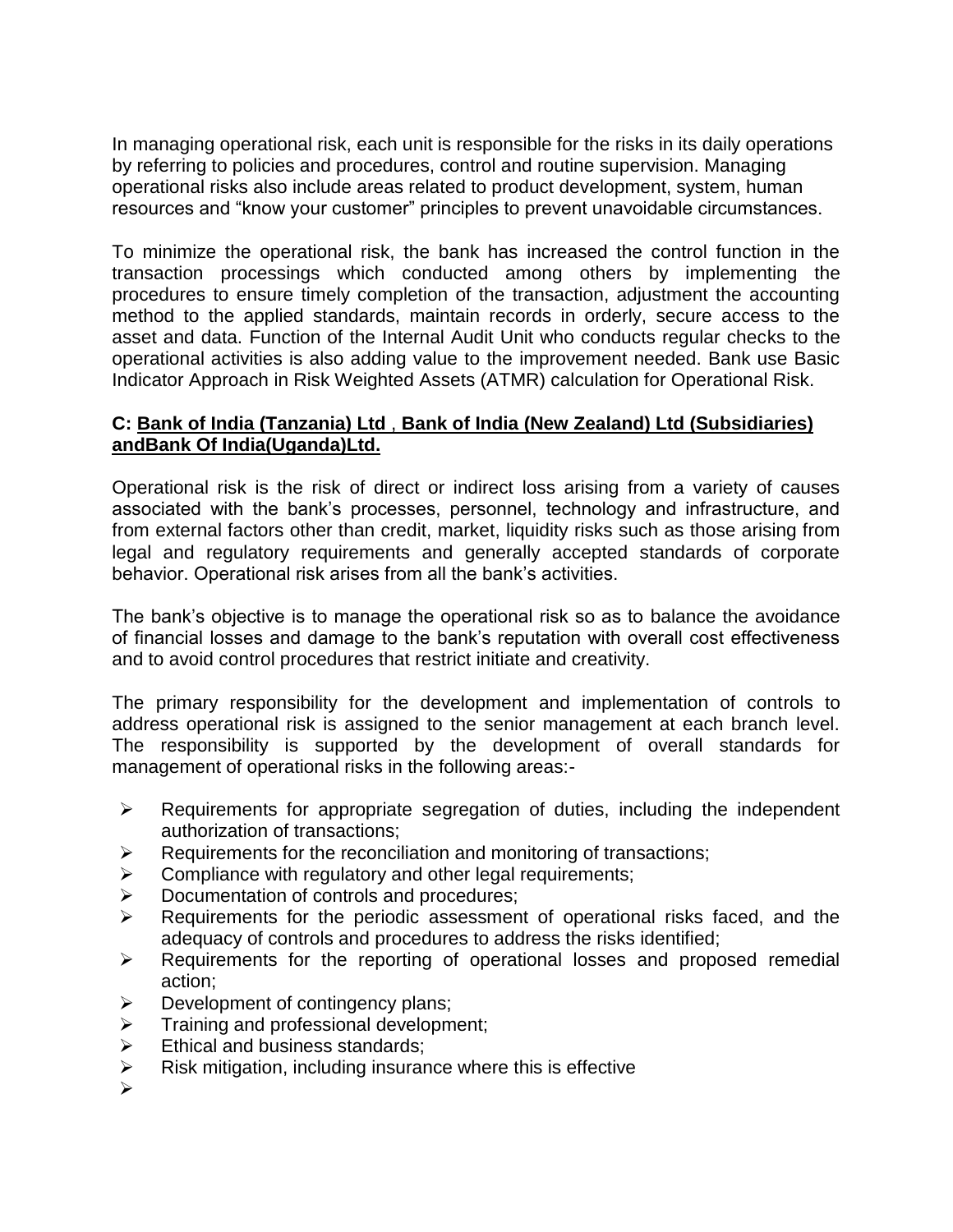In managing operational risk, each unit is responsible for the risks in its daily operations by referring to policies and procedures, control and routine supervision. Managing operational risks also include areas related to product development, system, human resources and "know your customer" principles to prevent unavoidable circumstances.

To minimize the operational risk, the bank has increased the control function in the transaction processings which conducted among others by implementing the procedures to ensure timely completion of the transaction, adjustment the accounting method to the applied standards, maintain records in orderly, secure access to the asset and data. Function of the Internal Audit Unit who conducts regular checks to the operational activities is also adding value to the improvement needed. Bank use Basic Indicator Approach in Risk Weighted Assets (ATMR) calculation for Operational Risk.

### **C: Bank of India (Tanzania) Ltd** , **Bank of India (New Zealand) Ltd (Subsidiaries) andBank Of India(Uganda)Ltd.**

Operational risk is the risk of direct or indirect loss arising from a variety of causes associated with the bank's processes, personnel, technology and infrastructure, and from external factors other than credit, market, liquidity risks such as those arising from legal and regulatory requirements and generally accepted standards of corporate behavior. Operational risk arises from all the bank's activities.

The bank's objective is to manage the operational risk so as to balance the avoidance of financial losses and damage to the bank's reputation with overall cost effectiveness and to avoid control procedures that restrict initiate and creativity.

The primary responsibility for the development and implementation of controls to address operational risk is assigned to the senior management at each branch level. The responsibility is supported by the development of overall standards for management of operational risks in the following areas:-

- $\triangleright$  Requirements for appropriate segregation of duties, including the independent authorization of transactions;
- $\triangleright$  Requirements for the reconciliation and monitoring of transactions;
- $\triangleright$  Compliance with regulatory and other legal requirements;
- **Documentation of controls and procedures;**
- $\triangleright$  Requirements for the periodic assessment of operational risks faced, and the adequacy of controls and procedures to address the risks identified;
- $\triangleright$  Requirements for the reporting of operational losses and proposed remedial action;
- $\triangleright$  Development of contingency plans;
- $\triangleright$  Training and professional development;
- $\triangleright$  Ethical and business standards:
- $\triangleright$  Risk mitigation, including insurance where this is effective
- $\blacktriangleright$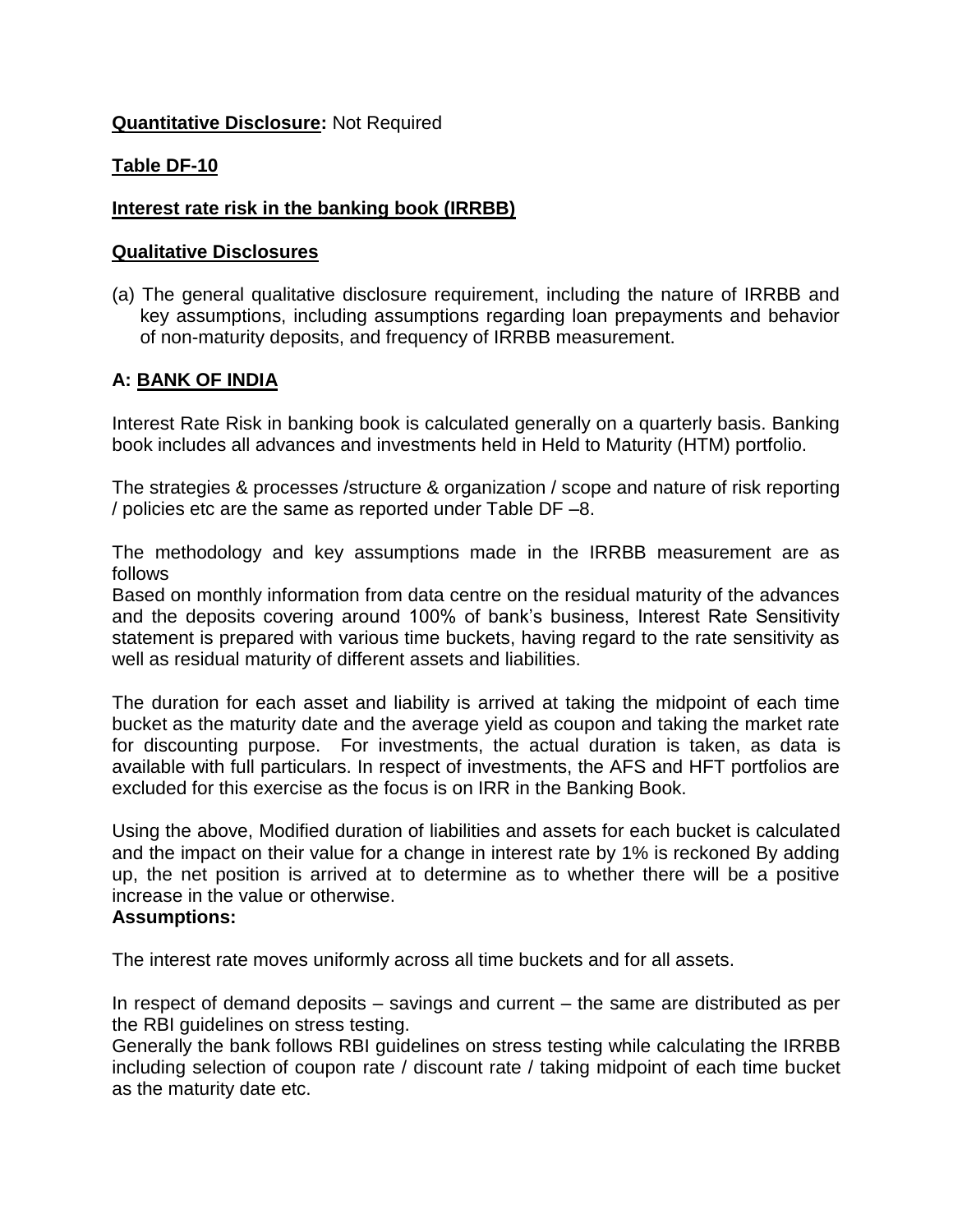#### **Quantitative Disclosure:** Not Required

### **Table DF-10**

#### **Interest rate risk in the banking book (IRRBB)**

#### **Qualitative Disclosures**

(a) The general qualitative disclosure requirement, including the nature of IRRBB and key assumptions, including assumptions regarding loan prepayments and behavior of non-maturity deposits, and frequency of IRRBB measurement.

### **A: BANK OF INDIA**

Interest Rate Risk in banking book is calculated generally on a quarterly basis. Banking book includes all advances and investments held in Held to Maturity (HTM) portfolio.

The strategies & processes /structure & organization / scope and nature of risk reporting / policies etc are the same as reported under Table DF –8.

The methodology and key assumptions made in the IRRBB measurement are as follows

Based on monthly information from data centre on the residual maturity of the advances and the deposits covering around 100% of bank's business, Interest Rate Sensitivity statement is prepared with various time buckets, having regard to the rate sensitivity as well as residual maturity of different assets and liabilities.

The duration for each asset and liability is arrived at taking the midpoint of each time bucket as the maturity date and the average yield as coupon and taking the market rate for discounting purpose. For investments, the actual duration is taken, as data is available with full particulars. In respect of investments, the AFS and HFT portfolios are excluded for this exercise as the focus is on IRR in the Banking Book.

Using the above, Modified duration of liabilities and assets for each bucket is calculated and the impact on their value for a change in interest rate by 1% is reckoned By adding up, the net position is arrived at to determine as to whether there will be a positive increase in the value or otherwise.

#### **Assumptions:**

The interest rate moves uniformly across all time buckets and for all assets.

In respect of demand deposits – savings and current – the same are distributed as per the RBI guidelines on stress testing.

Generally the bank follows RBI guidelines on stress testing while calculating the IRRBB including selection of coupon rate / discount rate / taking midpoint of each time bucket as the maturity date etc.